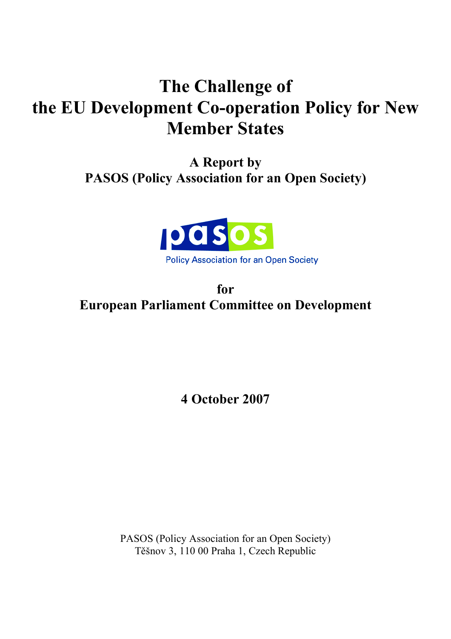# **The Challenge of the EU Development Co-operation Policy for New Member States**

**A Report by PASOS (Policy Association for an Open Society)**



**for European Parliament Committee on Development**

**4 October 2007**

PASOS (Policy Association for an Open Society) Těšnov 3, 110 00 Praha 1, Czech Republic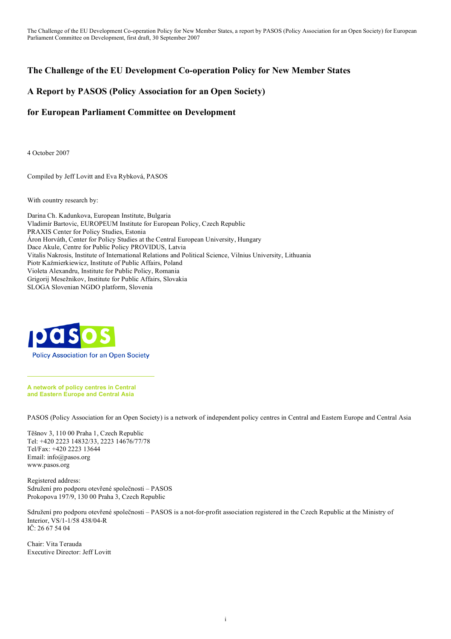# **The Challenge of the EU Development Co-operation Policy for New Member States**

# **A Report by PASOS (Policy Association for an Open Society)**

# **for European Parliament Committee on Development**

4 October 2007

Compiled by Jeff Lovitt and Eva Rybková, PASOS

With country research by:

Darina Ch. Kadunkova, European Institute, Bulgaria Vladimír Bartovic, EUROPEUM Institute for European Policy, Czech Republic PRAXIS Center for Policy Studies, Estonia Áron Horváth, Center for Policy Studies at the Central European University, Hungary Dace Akule, Centre for Public Policy PROVIDUS, Latvia Vitalis Nakrosis, Institute of International Relations and Political Science, Vilnius University, Lithuania Piotr Kaźmierkiewicz, Institute of Public Affairs, Poland Violeta Alexandru, Institute for Public Policy, Romania Grigorij Mesežnikov, Institute for Public Affairs, Slovakia SLOGA Slovenian NGDO platform, Slovenia



**A network of policy centres in Central and Eastern Europe and Central Asia**

PASOS (Policy Association for an Open Society) is a network of independent policy centres in Central and Eastern Europe and Central Asia

Těšnov 3, 110 00 Praha 1, Czech Republic Tel: +420 2223 14832/33, 2223 14676/77/78 Tel/Fax: +420 2223 13644 Email: info@pasos.org www.pasos.org

Registered address: Sdružení pro podporu otevřené společnosti – PASOS Prokopova 197/9, 130 00 Praha 3, Czech Republic

Sdružení pro podporu otevřené společnosti – PASOS is a not-for-profit association registered in the Czech Republic at the Ministry of Interior, VS/1-1/58 438/04-R IČ: 26 67 54 04

Chair: Vita Terauda Executive Director: Jeff Lovitt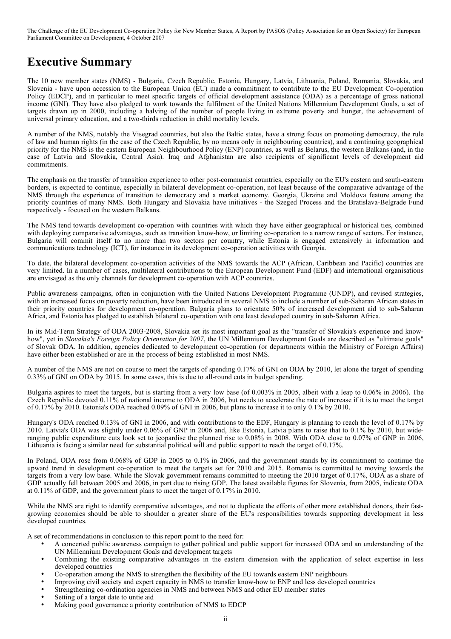# **Executive Summary**

The 10 new member states (NMS) - Bulgaria, Czech Republic, Estonia, Hungary, Latvia, Lithuania, Poland, Romania, Slovakia, and Slovenia - have upon accession to the European Union (EU) made a commitment to contribute to the EU Development Co-operation Policy (EDCP), and in particular to meet specific targets of official development assistance (ODA) as a percentage of gross national income (GNI). They have also pledged to work towards the fulfilment of the United Nations Millennium Development Goals, a set of targets drawn up in 2000, including a halving of the number of people living in extreme poverty and hunger, the achievement of universal primary education, and a two-thirds reduction in child mortality levels.

A number of the NMS, notably the Visegrad countries, but also the Baltic states, have a strong focus on promoting democracy, the rule of law and human rights (in the case of the Czech Republic, by no means only in neighbouring countries), and a continuing geographical priority for the NMS is the eastern European Neighbourhood Policy (ENP) countries, as well as Belarus, the western Balkans (and, in the case of Latvia and Slovakia, Central Asia). Iraq and Afghanistan are also recipients of significant levels of development aid commitments.

The emphasis on the transfer of transition experience to other post-communist countries, especially on the EU's eastern and south-eastern borders, is expected to continue, especially in bilateral development co-operation, not least because of the comparative advantage of the NMS through the experience of transition to democracy and a market economy. Georgia, Ukraine and Moldova feature among the priority countries of many NMS. Both Hungary and Slovakia have initiatives - the Szeged Process and the Bratislava-Belgrade Fund respectively - focused on the western Balkans.

The NMS tend towards development co-operation with countries with which they have either geographical or historical ties, combined with deploying comparative advantages, such as transition know-how, or limiting co-operation to a narrow range of sectors. For instance, Bulgaria will commit itself to no more than two sectors per country, while Estonia is engaged extensively in information and communications technology (ICT), for instance in its development co-operation activities with Georgia.

To date, the bilateral development co-operation activities of the NMS towards the ACP (African, Caribbean and Pacific) countries are very limited. In a number of cases, multilateral contributions to the European Development Fund (EDF) and international organisations are envisaged as the only channels for development co-operation with ACP countries.

Public awareness campaigns, often in conjunction with the United Nations Development Programme (UNDP), and revised strategies, with an increased focus on poverty reduction, have been introduced in several NMS to include a number of sub-Saharan African states in their priority countries for development co-operation. Bulgaria plans to orientate 50% of increased development aid to sub-Saharan Africa, and Estonia has pledged to establish bilateral co-operation with one least developed country in sub-Saharan Africa.

In its Mid-Term Strategy of ODA 2003-2008, Slovakia set its most important goal as the "transfer of Slovakia's experience and knowhow", yet in *Slovakia's Foreign Policy Orientation for 2007*, the UN Millennium Development Goals are described as "ultimate goals" of Slovak ODA. In addition, agencies dedicated to development co-operation (or departments within the Ministry of Foreign Affairs) have either been established or are in the process of being established in most NMS.

A number of the NMS are not on course to meet the targets of spending 0.17% of GNI on ODA by 2010, let alone the target of spending 0.33% of GNI on ODA by 2015. In some cases, this is due to all-round cuts in budget spending.

Bulgaria aspires to meet the targets, but is starting from a very low base (of 0.003% in 2005, albeit with a leap to 0.06% in 2006). The Czech Republic devoted 0.11% of national income to ODA in 2006, but needs to accelerate the rate of increase if it is to meet the target of 0.17% by 2010. Estonia's ODA reached 0.09% of GNI in 2006, but plans to increase it to only 0.1% by 2010.

Hungary's ODA reached 0.13% of GNI in 2006, and with contributions to the EDF, Hungary is planning to reach the level of 0.17% by 2010. Latvia's ODA was slightly under 0.06% of GNP in 2006 and, like Estonia, Latvia plans to raise that to 0.1% by 2010, but wideranging public expenditure cuts look set to jeopardise the planned rise to 0.08% in 2008. With ODA close to 0.07% of GNP in 2006, Lithuania is facing a similar need for substantial political will and public support to reach the target of 0.17%.

In Poland, ODA rose from 0.068% of GDP in 2005 to 0.1% in 2006, and the government stands by its commitment to continue the upward trend in development co-operation to meet the targets set for 2010 and 2015. Romania is committed to moving towards the targets from a very low base. While the Slovak government remains committed to meeting the 2010 target of 0.17%, ODA as a share of GDP actually fell between 2005 and 2006, in part due to rising GDP. The latest available figures for Slovenia, from 2005, indicate ODA at 0.11% of GDP, and the government plans to meet the target of 0.17% in 2010.

While the NMS are right to identify comparative advantages, and not to duplicate the efforts of other more established donors, their fastgrowing economies should be able to shoulder a greater share of the EU's responsibilities towards supporting development in less developed countries.

A set of recommendations in conclusion to this report point to the need for:

- A concerted public awareness campaign to gather political and public support for increased ODA and an understanding of the UN Millennium Development Goals and development targets
- Combining the existing comparative advantages in the eastern dimension with the application of select expertise in less developed countries
- Co-operation among the NMS to strengthen the flexibility of the EU towards eastern ENP neighbours
	- Improving civil society and expert capacity in NMS to transfer know-how to ENP and less developed countries
- Strengthening co-ordination agencies in NMS and between NMS and other EU member states
- Setting of a target date to untie aid
- Making good governance a priority contribution of NMS to EDCP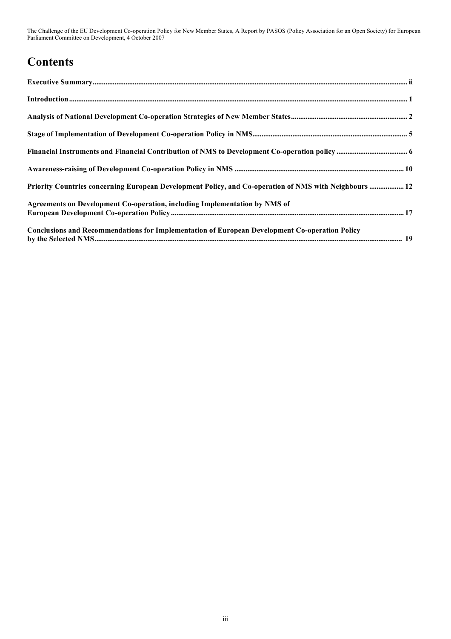# **Contents**

| $\label{prop:nonlinear} \textbf{Introduction} \textcolor{red}{\textbf{.}} \textbf{.} \textbf{.} \textbf{.} \textbf{.} \textbf{.} \textbf{.} \textbf{.} \textbf{.} \textbf{.} \textbf{.} \textbf{.} \textbf{.} \textbf{.} \textbf{.} \textbf{.} \textbf{.} \textbf{.} \textbf{.} \textbf{.} \textbf{.} \textbf{.} \textbf{.} \textbf{.} \textbf{.} \textbf{.} \textbf{.} \textbf{.} \textbf{.} \textbf{.} \textbf{.} \textbf{.} \textbf{.} \text$ |
|--------------------------------------------------------------------------------------------------------------------------------------------------------------------------------------------------------------------------------------------------------------------------------------------------------------------------------------------------------------------------------------------------------------------------------------------------|
|                                                                                                                                                                                                                                                                                                                                                                                                                                                  |
|                                                                                                                                                                                                                                                                                                                                                                                                                                                  |
|                                                                                                                                                                                                                                                                                                                                                                                                                                                  |
|                                                                                                                                                                                                                                                                                                                                                                                                                                                  |
| Priority Countries concerning European Development Policy, and Co-operation of NMS with Neighbours  12                                                                                                                                                                                                                                                                                                                                           |
| Agreements on Development Co-operation, including Implementation by NMS of                                                                                                                                                                                                                                                                                                                                                                       |
| <b>Conclusions and Recommendations for Implementation of European Development Co-operation Policy</b>                                                                                                                                                                                                                                                                                                                                            |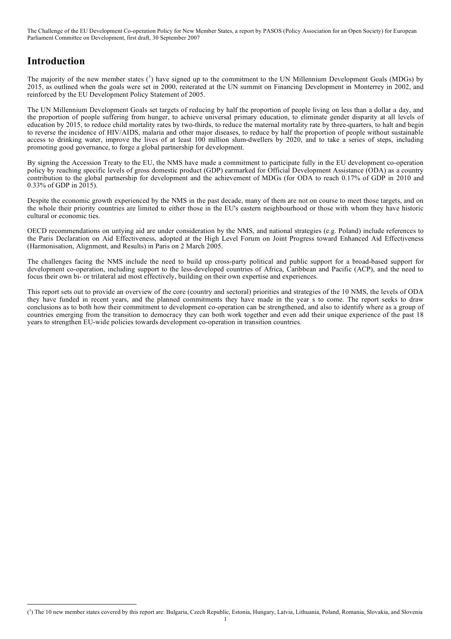# **Introduction**

The majority of the new member states  $\binom{1}{1}$  have signed up to the commitment to the UN Millennium Development Goals (MDGs) by 2015, as outlined when the goals were set in 2000, reiterated at the UN summit on Financing Development in Monterrey in 2002, and reinforced by the EU Development Policy Statement of 2005.

The UN Millennium Development Goals set targets of reducing by half the proportion of people living on less than a dollar a day, and the proportion of people suffering from hunger, to achieve universal primary education, to eliminate gender disparity at all levels of education by 2015, to reduce child mortality rates by two-thirds, to reduce the maternal mortality rate by three-quarters, to halt and begin to reverse the incidence of HIV/AIDS, malaria and other major diseases, to reduce by half the proportion of people without sustainable access to drinking water, improve the lives of at least 100 million slum-dwellers by 2020, and to take a series of steps, including promoting good governance, to forge a global partnership for development.

By signing the Accession Treaty to the EU, the NMS have made a commitment to participate fully in the EU development co-operation policy by reaching specific levels of gross domestic product (GDP) earmarked for Official Development Assistance (ODA) as a country contribution to the global partnership for development and the achievement of MDGs (for ODA to reach 0.17% of GDP in 2010 and 0.33% of GDP in 2015).

Despite the economic growth experienced by the NMS in the past decade, many of them are not on course to meet those targets, and on the whole their priority countries are limited to either those in the EU's eastern neighbourhood or those with whom they have historic cultural or economic ties.

OECD recommendations on untying aid are under consideration by the NMS, and national strategies (e.g. Poland) include references to the Paris Declaration on Aid Effectiveness, adopted at the High Level Forum on Joint Progress toward Enhanced Aid Effectiveness (Harmonisation, Alignment, and Results) in Paris on 2 March 2005.

The challenges facing the NMS include the need to build up cross-party political and public support for a broad-based support for development co-operation, including support to the less-developed countries of Africa, Caribbean and Pacific (ACP), and the need to focus their own bi- or trilateral aid most effectively, building on their own expertise and experiences.

This report sets out to provide an overview of the core (country and sectoral) priorities and strategies of the 10 NMS, the levels of ODA they have funded in recent years, and the planned commitments they have made in the year s to come. The report seeks to draw conclusions as to both how their commitment to development co-operation can be strengthened, and also to identify where as a group of countries emerging from the transition to democracy they can both work together and even add their unique experience of the past 18 years to strengthen EU-wide policies towards development co-operation in transition countries.

 $\frac{1}{\sqrt{2}}$ <sup>1</sup>) The 10 new member states covered by this report are: Bulgaria, Czech Republic, Estonia, Hungary, Latvia, Lithuania, Poland, Romania, Slovakia, and Slovenia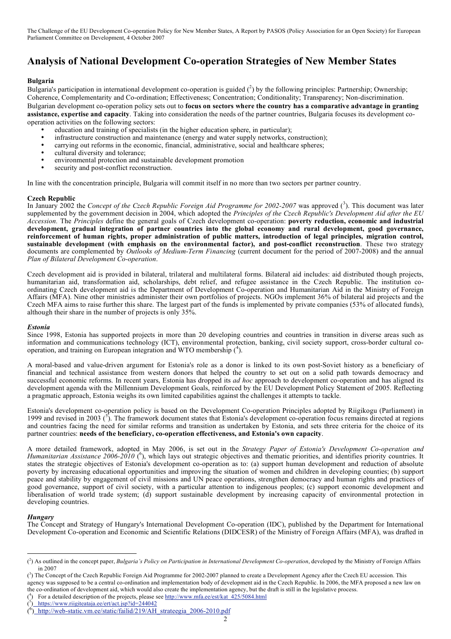# **Analysis of National Development Co-operation Strategies of New Member States**

#### **Bulgaria**

Bulgaria's participation in international development co-operation is guided  $(^2)$  by the following principles: Partnership; Ownership; Coherence, Complementarity and Co-ordination; Effectiveness; Concentration; Conditionality; Transparency; Non-discrimination. Bulgarian development co-operation policy sets out to **focus on sectors where the country has a comparative advantage in granting assistance, expertise and capacity**. Taking into consideration the needs of the partner countries, Bulgaria focuses its development cooperation activities on the following sectors:

- education and training of specialists (in the higher education sphere, in particular);
- infrastructure construction and maintenance (energy and water supply networks, construction);<br>• carrying out reforms in the economic financial administrative social and healthcare spheres;
- carrying out reforms in the economic, financial, administrative, social and healthcare spheres;
- cultural diversity and tolerance;
- environmental protection and sustainable development promotion
- security and post-conflict reconstruction.

In line with the concentration principle, Bulgaria will commit itself in no more than two sectors per partner country.

#### **Czech Republic**

In January 2002 the *Concept of the Czech Republic Foreign Aid Programme for 2002-2007* was approved ( 3 ). This document was later supplemented by the government decision in 2004, which adopted the *Principles of the Czech Republic's Development Aid after the EU Accession.* The *Principles* define the general goals of Czech development co-operation: **poverty reduction, economic and industrial development, gradual integration of partner countries into the global economy and rural development, good governance, reinforcement of human rights, proper administration of public matters, introduction of legal principles, migration control, sustainable development (with emphasis on the environmental factor), and post-conflict reconstruction**. These two strategy documents are complemented by *Outlooks of Medium-Term Financing* (current document for the period of 2007-2008) and the annual *Plan of Bilateral Development Co-operation*.

Czech development aid is provided in bilateral, trilateral and multilateral forms. Bilateral aid includes: aid distributed though projects, humanitarian aid, transformation aid, scholarships, debt relief, and refugee assistance in the Czech Republic. The institution coordinating Czech development aid is the Department of Development Co-operation and Humanitarian Aid in the Ministry of Foreign Affairs (MFA). Nine other ministries administer their own portfolios of projects. NGOs implement 36% of bilateral aid projects and the Czech MFA aims to raise further this share. The largest part of the funds is implemented by private companies (53% of allocated funds), although their share in the number of projects is only 35%.

#### *Estonia*

Since 1998, Estonia has supported projects in more than 20 developing countries and countries in transition in diverse areas such as information and communications technology (ICT), environmental protection, banking, civil society support, cross-border cultural cooperation, and training on European integration and WTO membership ( 4 ).

A moral-based and value-driven argument for Estonia's role as a donor is linked to its own post-Soviet history as a beneficiary of financial and technical assistance from western donors that helped the country to set out on a solid path towards democracy and successful economic reforms. In recent years, Estonia has dropped its *ad hoc* approach to development co-operation and has aligned its development agenda with the Millennium Development Goals, reinforced by the EU Development Policy Statement of 2005. Reflecting a pragmatic approach, Estonia weighs its own limited capabilities against the challenges it attempts to tackle.

Estonia's development co-operation policy is based on the Development Co-operation Principles adopted by Riigikogu (Parliament) in 1999 and revised in 2003  $(5)$ . The framework document states that Estonia's development co-operation focus remains directed at regions and countries facing the need for similar reforms and transition as undertaken by Estonia, and sets three criteria for the choice of its partner countries: **needs of the beneficiary, co-operation effectiveness, and Estonia's own capacity**.

A more detailed framework, adopted in May 2006, is set out in the *Strategy Paper of Estonia's Development Co-operation and Humanitarian Assistance 2006-2010* (<sup>6</sup>), which lays out strategic objectives and thematic priorities, and identifies priority countries. It states the strategic objectives of Estonia's development co-operation as to: (a) support human development and reduction of absolute poverty by increasing educational opportunities and improving the situation of women and children in developing counties; (b) support peace and stability by engagement of civil missions and UN peace operations, strengthen democracy and human rights and practices of good governance, support of civil society, with a particular attention to indigenous peoples; (c) support economic development and liberalisation of world trade system; (d) support sustainable development by increasing capacity of environmental protection in developing countries.

#### *Hungary*

The Concept and Strategy of Hungary's International Development Co-operation (IDC), published by the Department for International Development Co-operation and Economic and Scientific Relations (DIDCESR) of the Ministry of Foreign Affairs (MFA), was drafted in

the co-ordination of development aid, which would also create the implementation agency, but the draft is still in the legislative process.

#### $($ <sup>4</sup> ) For a detailed description of the projects, please see http://www.mfa.ee/est/kat\_425/5084.html

 $\overline{(\cdot)}$ 2 ) As outlined in the concept paper, *Bulgaria's Policy on Participation in International Development Co-operation*, developed by the Ministry of Foreign Affairs in 2007

<sup>&</sup>lt;sup>(3</sup>) The Concept of the Czech Republic Foreign Aid Programme for 2002-2007 planned to create a Development Agency after the Czech EU accession. This agency was supposed to be a central co-ordination and implementation body of development aid in the Czech Republic. In 2006, the MFA proposed a new law on

<sup>(</sup> 5 ) https://www.riigiteataja.ee/ert/act.jsp?id=244042

 $\frac{6}{2}$  http://web-static.vm.ee/static/failid/219/AH\_strateegia\_2006-2010.pdf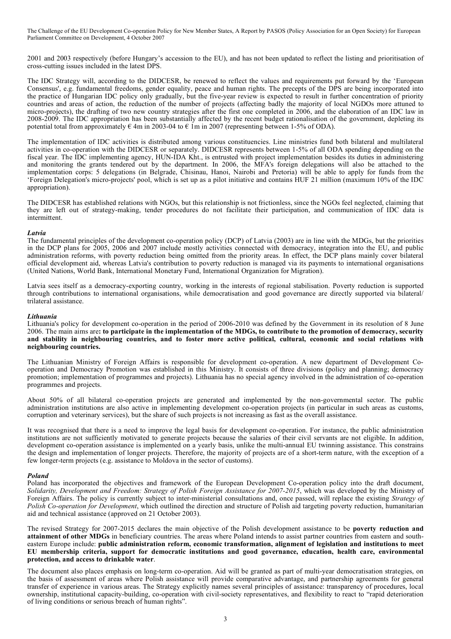2001 and 2003 respectively (before Hungary's accession to the EU), and has not been updated to reflect the listing and prioritisation of cross-cutting issues included in the latest DPS.

The IDC Strategy will, according to the DIDCESR, be renewed to reflect the values and requirements put forward by the 'European Consensus', e.g. fundamental freedoms, gender equality, peace and human rights. The precepts of the DPS are being incorporated into the practice of Hungarian IDC policy only gradually, but the five-year review is expected to result in further concentration of priority countries and areas of action, the reduction of the number of projects (affecting badly the majority of local NGDOs more attuned to micro-projects), the drafting of two new country strategies after the first one completed in 2006, and the elaboration of an IDC law in 2008-2009. The IDC appropriation has been substantially affected by the recent budget rationalisation of the government, depleting its potential total from approximately  $\epsilon$  4m in 2003-04 to  $\epsilon$  1m in 2007 (representing between 1-5% of ODA).

The implementation of IDC activities is distributed among various constituencies. Line ministries fund both bilateral and multilateral activities in co-operation with the DIDCESR or separately. DIDCESR represents between 1-5% of all ODA spending depending on the fiscal year. The IDC implementing agency, HUN-IDA Kht., is entrusted with project implementation besides its duties in administering and monitoring the grants tendered out by the department. In 2006, the MFA's foreign delegations will also be attached to the implementation corps: 5 delegations (in Belgrade, Chisinau, Hanoi, Nairobi and Pretoria) will be able to apply for funds from the 'Foreign Delegation's micro-projects' pool, which is set up as a pilot initiative and contains HUF 21 million (maximum 10% of the IDC appropriation).

The DIDCESR has established relations with NGOs, but this relationship is not frictionless, since the NGOs feel neglected, claiming that they are left out of strategy-making, tender procedures do not facilitate their participation, and communication of IDC data is intermittent.

#### *Latvia*

The fundamental principles of the development co-operation policy (DCP) of Latvia (2003) are in line with the MDGs, but the priorities in the DCP plans for 2005, 2006 and 2007 include mostly activities connected with democracy, integration into the EU, and public administration reforms, with poverty reduction being omitted from the priority areas. In effect, the DCP plans mainly cover bilateral official development aid, whereas Latvia's contribution to poverty reduction is managed via its payments to international organisations (United Nations, World Bank, International Monetary Fund, International Organization for Migration).

Latvia sees itself as a democracy-exporting country, working in the interests of regional stabilisation. Poverty reduction is supported through contributions to international organisations, while democratisation and good governance are directly supported via bilateral/ trilateral assistance.

#### *Lithuania*

Lithuania's policy for development co-operation in the period of 2006-2010 was defined by the Government in its resolution of 8 June 2006. The main aims are: to participate in the implementation of the MDGs, to contribute to the promotion of democracy, security and stability in neighbouring countries, and to foster more active political, cultural, economic and social relations with **neighbouring countries.**

The Lithuanian Ministry of Foreign Affairs is responsible for development co-operation. A new department of Development Cooperation and Democracy Promotion was established in this Ministry. It consists of three divisions (policy and planning; democracy promotion; implementation of programmes and projects). Lithuania has no special agency involved in the administration of co-operation programmes and projects.

About 50% of all bilateral co-operation projects are generated and implemented by the non-governmental sector. The public administration institutions are also active in implementing development co-operation projects (in particular in such areas as customs, corruption and veterinary services), but the share of such projects is not increasing as fast as the overall assistance.

It was recognised that there is a need to improve the legal basis for development co-operation. For instance, the public administration institutions are not sufficiently motivated to generate projects because the salaries of their civil servants are not eligible. In addition, development co-operation assistance is implemented on a yearly basis, unlike the multi-annual EU twinning assistance. This constrains the design and implementation of longer projects. Therefore, the majority of projects are of a short-term nature, with the exception of a few longer-term projects (e.g. assistance to Moldova in the sector of customs).

#### *Poland*

Poland has incorporated the objectives and framework of the European Development Co-operation policy into the draft document, *Solidarity, Development and Freedom: Strategy of Polish Foreign Assistance for 2007-2015*, which was developed by the Ministry of Foreign Affairs. The policy is currently subject to inter-ministerial consultations and, once passed, will replace the existing *Strategy of Polish Co-operation for Development*, which outlined the direction and structure of Polish aid targeting poverty reduction, humanitarian aid and technical assistance (approved on 21 October 2003).

The revised Strategy for 2007-2015 declares the main objective of the Polish development assistance to be **poverty reduction and attainment of other MDGs** in beneficiary countries. The areas where Poland intends to assist partner countries from eastern and southeastern Europe include: **public administration reform, economic transformation, alignment of legislation and institutions to meet EU membership criteria, support for democratic institutions and good governance, education, health care, environmental protection, and access to drinkable water**.

The document also places emphasis on long-term co-operation. Aid will be granted as part of multi-year democratisation strategies, on the basis of assessment of areas where Polish assistance will provide comparative advantage, and partnership agreements for general transfer of experience in various areas. The Strategy explicitly names several principles of assistance: transparency of procedures, local ownership, institutional capacity-building, co-operation with civil-society representatives, and flexibility to react to "rapid deterioration of living conditions or serious breach of human rights".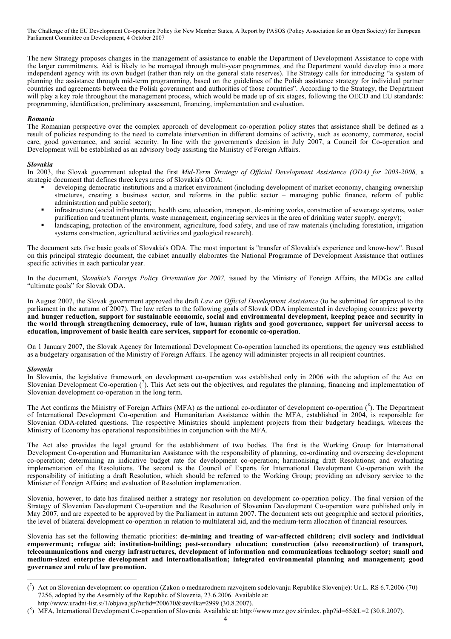The new Strategy proposes changes in the management of assistance to enable the Department of Development Assistance to cope with the larger commitments. Aid is likely to be managed through multi-year programmes, and the Department would develop into a more independent agency with its own budget (rather than rely on the general state reserves). The Strategy calls for introducing "a system of planning the assistance through mid-term programming, based on the guidelines of the Polish assistance strategy for individual partner countries and agreements between the Polish government and authorities of those countries". According to the Strategy, the Department will play a key role throughout the management process, which would be made up of six stages, following the OECD and EU standards: programming, identification, preliminary assessment, financing, implementation and evaluation.

#### *Romania*

The Romanian perspective over the complex approach of development co-operation policy states that assistance shall be defined as a result of policies responding to the need to correlate intervention in different domains of activity, such as economy, commerce, social care, good governance, and social security. In line with the government's decision in July 2007, a Council for Co-operation and Development will be established as an advisory body assisting the Ministry of Foreign Affairs.

#### *Slovakia*

In 2003, the Slovak government adopted the first *Mid-Term Strategy of Official Development Assistance (ODA) for 2003-2008,* a strategic document that defines three keys areas of Slovakia's ODA:

- developing democratic institutions and a market environment (including development of market economy, changing ownership structures, creating a business sector, and reforms in the public sector – managing public finance, reform of public administration and public sector);
- infrastructure (social infrastructure, health care, education, transport, de-mining works, construction of sewerage systems, water purification and treatment plants, waste management, engineering services in the area of drinking water supply, energy);
- landscaping, protection of the environment, agriculture, food safety, and use of raw materials (including forestation, irrigation systems construction, agricultural activities and geological research).

The document sets five basic goals of Slovakia's ODA. The most important is "transfer of Slovakia's experience and know-how". Based on this principal strategic document, the cabinet annually elaborates the National Programme of Development Assistance that outlines specific activities in each particular year.

In the document, *Slovakia's Foreign Policy Orientation for 2007,* issued by the Ministry of Foreign Affairs, the MDGs are called "ultimate goals" for Slovak ODA.

In August 2007, the Slovak government approved the draft *Law on Official Development Assistance* (to be submitted for approval to the parliament in the autumn of 2007). The law refers to the following goals of Slovak ODA implemented in developing countries**: poverty** and hunger reduction, support for sustainable economic, social and environmental development, keeping peace and security in the world through strengthening democracy, rule of law, human rights and good governance, support for universal access to **education, improvement of basic health care services, support for economic co-operation**.

On 1 January 2007, the Slovak Agency for International Development Co-operation launched its operations; the agency was established as a budgetary organisation of the Ministry of Foreign Affairs. The agency will administer projects in all recipient countries.

#### *Slovenia*

In Slovenia, the legislative framework on development co-operation was established only in 2006 with the adoption of the Act on Slovenian Development Co-operation  $\binom{7}{1}$ . This Act sets out the objectives, and regulates the planning, financing and implementation of Slovenian development co-operation in the long term.

The Act confirms the Ministry of Foreign Affairs (MFA) as the national co-ordinator of development co-operation  $(^8)$ . The Department of International Development Co-operation and Humanitarian Assistance within the MFA, established in 2004, is responsible for Slovenian ODA-related questions. The respective Ministries should implement projects from their budgetary headings, whereas the Ministry of Economy has operational responsibilities in conjunction with the MFA.

The Act also provides the legal ground for the establishment of two bodies. The first is the Working Group for International Development Co-operation and Humanitarian Assistance with the responsibility of planning, co-ordinating and overseeing development co-operation; determining an indicative budget rate for development co-operation; harmonising draft Resolutions; and evaluating implementation of the Resolutions. The second is the Council of Experts for International Development Co-operation with the responsibility of initiating a draft Resolution, which should be referred to the Working Group; providing an advisory service to the Minister of Foreign Affairs; and evaluation of Resolution implementation.

Slovenia, however, to date has finalised neither a strategy nor resolution on development co-operation policy. The final version of the Strategy of Slovenian Development Co-operation and the Resolution of Slovenian Development Co-operation were published only in May 2007, and are expected to be approved by the Parliament in autumn 2007. The document sets out geographic and sectoral priorities, the level of bilateral development co-operation in relation to multilateral aid, and the medium-term allocation of financial resources.

Slovenia has set the following thematic priorities: **de-mining and treating of war-affected children; civil society and individual empowerment; refugee aid; institution-building; post-secondary education; construction (also reconstruction) of transport, telecommunications and energy infrastructures, development of information and communications technology sector; small and medium-sized enterprise development and internationalisation; integrated environmental planning and management; good governance and rule of law promotion.**

 <sup>(</sup> 7 ) Act on Slovenian development co-operation (Zakon o mednarodnem razvojnem sodelovanju Republike Slovenije): Ur.L. RS 6.7.2006 (70) 7256, adopted by the Assembly of the Republic of Slovenia, 23.6.2006. Available at: http://www.uradni-list.si/1/objava.jsp?urlid=200670&stevilka=2999 (30.8.2007).

 $\hat{N}$ ) MFA, International Development Co-operation of Slovenia. Available at: http://www.mzz.gov.si/index. php?id=65&L=2 (30.8.2007).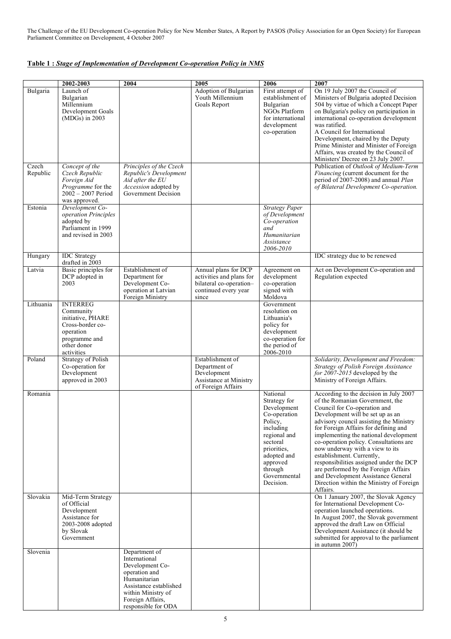# **Table 1 :** *Stage of Implementation of Development Co-operation Policy in NMS*

|                   | 2002-2003                                                                                                                        | 2004                                                                                                                                                                          | 2005                                                                                                         | 2006                                                                                                                                                                                          | 2007                                                                                                                                                                                                                                                                                                                                                                                                                                                                                                                                                                 |
|-------------------|----------------------------------------------------------------------------------------------------------------------------------|-------------------------------------------------------------------------------------------------------------------------------------------------------------------------------|--------------------------------------------------------------------------------------------------------------|-----------------------------------------------------------------------------------------------------------------------------------------------------------------------------------------------|----------------------------------------------------------------------------------------------------------------------------------------------------------------------------------------------------------------------------------------------------------------------------------------------------------------------------------------------------------------------------------------------------------------------------------------------------------------------------------------------------------------------------------------------------------------------|
| Bulgaria          | Launch of<br>Bulgarian<br>Millennium<br>Development Goals<br>$(MDGs)$ in 2003                                                    |                                                                                                                                                                               | Adoption of Bulgarian<br>Youth Millennium<br>Goals Report                                                    | First attempt of<br>establishment of<br>Bulgarian<br>NGOs Platform<br>for international<br>development<br>co-operation                                                                        | On 19 July 2007 the Council of<br>Ministers of Bulgaria adopted Decision<br>504 by virtue of which a Concept Paper<br>on Bulgaria's policy on participation in<br>international co-operation development<br>was ratified.<br>A Council for International<br>Development, chaired by the Deputy<br>Prime Minister and Minister of Foreign<br>Affairs, was created by the Council of<br>Ministers' Decree on 23 July 2007.                                                                                                                                             |
| Czech<br>Republic | Concept of the<br>Czech Republic<br>Foreign Aid<br><i>Programme</i> for the<br>$2002 - 2007$ Period<br>was approved.             | Principles of the Czech<br>Republic's Development<br>Aid after the EU<br>Accession adopted by<br>Government Decision                                                          |                                                                                                              |                                                                                                                                                                                               | Publication of Outlook of Medium-Term<br>Financing (current document for the<br>period of 2007-2008) and annual Plan<br>of Bilateral Development Co-operation.                                                                                                                                                                                                                                                                                                                                                                                                       |
| Estonia           | Development Co-<br>operation Principles<br>adopted by<br>Parliament in 1999<br>and revised in 2003                               |                                                                                                                                                                               |                                                                                                              | Strategy Paper<br>of Development<br>Co-operation<br>and<br>Humanitarian<br>Assistance<br>2006-2010                                                                                            |                                                                                                                                                                                                                                                                                                                                                                                                                                                                                                                                                                      |
| Hungary           | <b>IDC</b> Strategy                                                                                                              |                                                                                                                                                                               |                                                                                                              |                                                                                                                                                                                               | IDC strategy due to be renewed                                                                                                                                                                                                                                                                                                                                                                                                                                                                                                                                       |
| Latvia            | drafted in 2003<br>Basic principles for<br>DCP adopted in<br>2003                                                                | Establishment of<br>Department for<br>Development Co-<br>operation at Latvian<br>Foreign Ministry                                                                             | Annual plans for DCP<br>activities and plans for<br>bilateral co-operation-<br>continued every year<br>since | Agreement on<br>development<br>co-operation<br>signed with<br>Moldova                                                                                                                         | Act on Development Co-operation and<br>Regulation expected                                                                                                                                                                                                                                                                                                                                                                                                                                                                                                           |
| Lithuania         | <b>INTERREG</b><br>Community<br>initiative, PHARE<br>Cross-border co-<br>operation<br>programme and<br>other donor<br>activities |                                                                                                                                                                               |                                                                                                              | Government<br>resolution on<br>Lithuania's<br>policy for<br>development<br>co-operation for<br>the period of<br>2006-2010                                                                     |                                                                                                                                                                                                                                                                                                                                                                                                                                                                                                                                                                      |
| Poland            | <b>Strategy of Polish</b><br>Co-operation for<br>Development<br>approved in 2003                                                 |                                                                                                                                                                               | Establishment of<br>Department of<br>Development<br>Assistance at Ministry<br>of Foreign Affairs             |                                                                                                                                                                                               | Solidarity, Development and Freedom:<br>Strategy of Polish Foreign Assistance<br>for 2007-2015 developed by the<br>Ministry of Foreign Affairs.                                                                                                                                                                                                                                                                                                                                                                                                                      |
| Romania           |                                                                                                                                  |                                                                                                                                                                               |                                                                                                              | National<br>Strategy for<br>Development<br>Co-operation<br>Policy,<br>including<br>regional and<br>sectoral<br>priorities,<br>adopted and<br>approved<br>through<br>Governmental<br>Decision. | According to the decision in July 2007<br>of the Romanian Government, the<br>Council for Co-operation and<br>Development will be set up as an<br>advisory council assisting the Ministry<br>for Foreign Affairs for defining and<br>implementing the national development<br>co-operation policy. Consultations are<br>now underway with a view to its<br>establishment. Currently,<br>responsibilities assigned under the DCP<br>are performed by the Foreign Affairs<br>and Development Assistance General<br>Direction within the Ministry of Foreign<br>Affairs. |
| Slovakia          | Mid-Term Strategy<br>of Official<br>Development<br>Assistance for<br>2003-2008 adopted<br>by Slovak<br>Government                |                                                                                                                                                                               |                                                                                                              |                                                                                                                                                                                               | On 1 January 2007, the Slovak Agency<br>for International Development Co-<br>operation launched operations.<br>In August 2007, the Slovak government<br>approved the draft Law on Official<br>Development Assistance (it should be<br>submitted for approval to the parliament<br>in autumn 2007)                                                                                                                                                                                                                                                                    |
| Slovenia          |                                                                                                                                  | Department of<br>International<br>Development Co-<br>operation and<br>Humanitarian<br>Assistance established<br>within Ministry of<br>Foreign Affairs,<br>responsible for ODA |                                                                                                              |                                                                                                                                                                                               |                                                                                                                                                                                                                                                                                                                                                                                                                                                                                                                                                                      |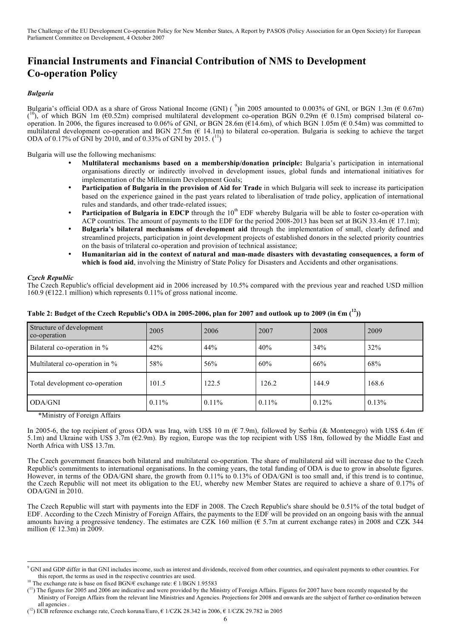# **Financial Instruments and Financial Contribution of NMS to Development Co-operation Policy**

# *Bulgaria*

Bulgaria's official ODA as a share of Gross National Income (GNI) ( $\degree$ )in 2005 amounted to 0.003% of GNI, or BGN 1.3m ( $\epsilon$  0.67m) ( $^{10}$ ), of which BGN 1m ( $60.52$ m) comprised multilateral development co-operation BGN 0.29m ( $6.015$ m) comprised bilateral cooperation. In 2006, the figures increased to 0.06% of GNI, or BGN 28.6m ( $E14.6m$ ), of which BGN 1.05m ( $E0.54m$ ) was committed to multilateral development co-operation and BGN 27.5m (€ 14.1m) to bilateral co-operation. Bulgaria is seeking to achieve the target ODA of 0.17% of GNI by 2010, and of 0.33% of GNI by 2015.  $\binom{11}{1}$ 

Bulgaria will use the following mechanisms:

- **Multilateral mechanisms based on a membership/donation principle:** Bulgaria's participation in international organisations directly or indirectly involved in development issues, global funds and international initiatives for implementation of the Millennium Development Goals;
- **Participation of Bulgaria in the provision of Aid for Trade** in which Bulgaria will seek to increase its participation based on the experience gained in the past years related to liberalisation of trade policy, application of international rules and standards, and other trade-related issues;
- **Participation of Bulgaria in EDCP** through the 10<sup>th</sup> EDF whereby Bulgaria will be able to foster co-operation with ACP countries. The amount of payments to the EDF for the period 2008-2013 has been set at BGN 33.4m ( $\epsilon$  17.1m);
- **Bulgaria's bilateral mechanisms of development aid** through the implementation of small, clearly defined and streamlined projects, participation in joint development projects of established donors in the selected priority countries on the basis of trilateral co-operation and provision of technical assistance;
- **Humanitarian aid in the context of natural and man-made disasters with devastating consequences, a form of which is food aid**, involving the Ministry of State Policy for Disasters and Accidents and other organisations.

# *Czech Republic*

The Czech Republic's official development aid in 2006 increased by 10.5% compared with the previous year and reached USD million 160.9 ( $E122.1$  million) which represents 0.11% of gross national income.

| Structure of development<br>co-operation | 2005     | 2006     | 2007     | 2008     | 2009  |
|------------------------------------------|----------|----------|----------|----------|-------|
| Bilateral co-operation in %              | 42%      | 44%      | 40%      | 34%      | 32%   |
| Multilateral co-operation in %           | 58%      | 56%      | 60%      | 66%      | 68%   |
| Total development co-operation           | 101.5    | 122.5    | 126.2    | 144.9    | 168.6 |
| ODA/GNI                                  | $0.11\%$ | $0.11\%$ | $0.11\%$ | $0.12\%$ | 0.13% |

# Table 2: Budget of the Czech Republic's ODA in 2005-2006, plan for 2007 and outlook up to 2009 (in  $\epsilon$ m ( $^{12})$ )

\*Ministry of Foreign Affairs

In 2005-6, the top recipient of gross ODA was Iraq, with US\$ 10 m ( $\epsilon$  7.9m), followed by Serbia ( $\&$  Montenegro) with US\$ 6.4m ( $\epsilon$ 5.1m) and Ukraine with US\$ 3.7m (€2.9m). By region, Europe was the top recipient with US\$ 18m, followed by the Middle East and North Africa with US\$ 13.7m.

The Czech government finances both bilateral and multilateral co-operation. The share of multilateral aid will increase due to the Czech Republic's commitments to international organisations. In the coming years, the total funding of ODA is due to grow in absolute figures. However, in terms of the ODA/GNI share, the growth from 0.11% to 0.13% of ODA/GNI is too small and, if this trend is to continue, the Czech Republic will not meet its obligation to the EU, whereby new Member States are required to achieve a share of 0.17% of ODA/GNI in 2010.

The Czech Republic will start with payments into the EDF in 2008. The Czech Republic's share should be 0.51% of the total budget of EDF. According to the Czech Ministry of Foreign Affairs, the payments to the EDF will be provided on an ongoing basis with the annual amounts having a progressive tendency. The estimates are CZK 160 million ( $\epsilon$  5.7m at current exchange rates) in 2008 and CZK 344 million ( $\in$  12.3m) in 2009.

<sup>&</sup>lt;sup>9</sup> GNI and GDP differ in that GNI includes income, such as interest and dividends, received from other countries, and equivalent payments to other countries. For this report, the terms as used in the respective countries are used.

<sup>&</sup>lt;sup>10</sup> The exchange rate is base on fixed BGN $\ell$  exchange rate: € 1/BGN 1.95583

 $(1)$  The figures for 2005 and 2006 are indicative and were provided by the Ministry of Foreign Affairs. Figures for 2007 have been recently requested by the Ministry of Foreign Affairs from the relevant line Ministries and Agencies. Projections for 2008 and onwards are the subject of further co-ordination between all agencies

 $(1^2)$  ECB reference exchange rate, Czech koruna/Euro, € 1/CZK 28.342 in 2006, € 1/CZK 29.782 in 2005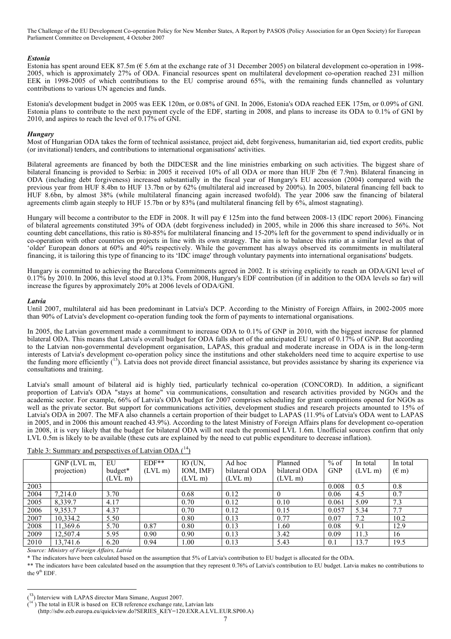#### *Estonia*

Estonia has spent around EEK 87.5m (€ 5.6m at the exchange rate of 31 December 2005) on bilateral development co-operation in 1998- 2005, which is approximately 27% of ODA. Financial resources spent on multilateral development co-operation reached 231 million EEK in 1998-2005 of which contributions to the EU comprise around 65%, with the remaining funds channelled as voluntary contributions to various UN agencies and funds.

Estonia's development budget in 2005 was EEK 120m, or 0.08% of GNI. In 2006, Estonia's ODA reached EEK 175m, or 0.09% of GNI. Estonia plans to contribute to the next payment cycle of the EDF, starting in 2008, and plans to increase its ODA to 0.1% of GNI by 2010, and aspires to reach the level of 0.17% of GNI.

#### *Hungary*

Most of Hungarian ODA takes the form of technical assistance, project aid, debt forgiveness, humanitarian aid, tied export credits, public (or invitational) tenders, and contributions to international organisations' activities.

Bilateral agreements are financed by both the DIDCESR and the line ministries embarking on such activities. The biggest share of bilateral financing is provided to Serbia: in 2005 it received 10% of all ODA or more than HUF 2bn ( $\epsilon$  7.9m). Bilateral financing in ODA (including debt forgiveness) increased substantially in the fiscal year of Hungary's EU accession (2004) compared with the previous year from HUF 8.4bn to HUF 13.7bn or by 62% (multilateral aid increased by 200%). In 2005, bilateral financing fell back to HUF 8.6bn, by almost 38% (while multilateral financing again increased twofold). The year 2006 saw the financing of bilateral agreements climb again steeply to HUF 15.7bn or by 83% (and multilateral financing fell by 6%, almost stagnating).

Hungary will become a contributor to the EDF in 2008. It will pay  $\epsilon$  125m into the fund between 2008-13 (IDC report 2006). Financing of bilateral agreements constituted 39% of ODA (debt forgiveness included) in 2005, while in 2006 this share increased to 56%. Not counting debt cancellations, this ratio is 80-85% for multilateral financing and 15-20% left for the government to spend individually or in co-operation with other countries on projects in line with its own strategy. The aim is to balance this ratio at a similar level as that of 'older' European donors at 60% and 40% respectively. While the government has always observed its commitments in multilateral financing, it is tailoring this type of financing to its 'IDC image' through voluntary payments into international organisations' budgets.

Hungary is committed to achieving the Barcelona Commitments agreed in 2002. It is striving explicitly to reach an ODA/GNI level of 0.17% by 2010. In 2006, this level stood at 0.13%. From 2008, Hungary's EDF contribution (if in addition to the ODA levels so far) will increase the figures by approximately 20% at 2006 levels of ODA/GNI.

#### *Latvia*

Until 2007, multilateral aid has been predominant in Latvia's DCP. According to the Ministry of Foreign Affairs, in 2002-2005 more than 90% of Latvia's development co-operation funding took the form of payments to international organisations.

In 2005, the Latvian government made a commitment to increase ODA to 0.1% of GNP in 2010, with the biggest increase for planned bilateral ODA. This means that Latvia's overall budget for ODA falls short of the anticipated EU target of 0.17% of GNP. But according to the Latvian non-governmental development organisation, LAPAS, this gradual and moderate increase in ODA is in the long-term interests of Latvia's development co-operation policy since the institutions and other stakeholders need time to acquire expertise to use the funding more efficiently  $(^{13})$ . Latvia does not provide direct financial assistance, but provides assistance by sharing its experience via consultations and training.

Latvia's small amount of bilateral aid is highly tied, particularly technical co-operation (CONCORD). In addition, a significant proportion of Latvia's ODA "stays at home" via communications, consultation and research activities provided by NGOs and the academic sector. For example, 66% of Latvia's ODA budget for 2007 comprises scheduling for grant competitions opened for NGOs as well as the private sector. But support for communications activities, development studies and research projects amounted to 15% of Latvia's ODA in 2007. The MFA also channels a certain proportion of their budget to LAPAS (11.9% of Latvia's ODA went to LAPAS in 2005, and in 2006 this amount reached 43.9%). According to the latest Ministry of Foreign Affairs plans for development co-operation in 2008, it is very likely that the budget for bilateral ODA will not reach the promised LVL 1.6m. Unofficial sources confirm that only LVL 0.5m is likely to be available (these cuts are explained by the need to cut public expenditure to decrease inflation).

|      | $GNP$ (LVL m. | EU        | $EDF**$   | IO (UN.   | Ad hoc        | Planned       | $%$ of     | In total  | In total       |
|------|---------------|-----------|-----------|-----------|---------------|---------------|------------|-----------|----------------|
|      | projection)   | budget*   | $(LVL$ m) | IOM, IMF) | bilateral ODA | bilateral ODA | <b>GNP</b> | $(LVL$ m) | $(\epsilon$ m) |
|      |               | $(LVL$ m) |           | $(LVL$ m) | $(LVL$ m)     | $(LVL$ m)     |            |           |                |
| 2003 |               |           |           |           |               |               | 0.008      | 0.5       | 0.8            |
| 2004 | 7,214.0       | 3.70      |           | 0.68      | 0.12          |               | 0.06       | 4.5       | 0.7            |
| 2005 | 8,339.7       | 4.17      |           | 0.70      | 0.12          | 0.10          | 0.061      | 5.09      | 7.3            |
| 2006 | 9,353.7       | 4.37      |           | 0.70      | 0.12          | 0.15          | 0.057      | 5.34      | 7.7            |
| 2007 | 10,334.2      | 5.50      |           | 0.80      | 0.13          | 0.77          | 0.07       | 7.2       | 10.2           |
| 2008 | 11,369.6      | 5.70      | 0.87      | 0.80      | 0.13          | 1.60          | 0.08       | 9.1       | 12.9           |
| 2009 | 12,507.4      | 5.95      | 0.90      | 0.90      | 0.13          | 3.42          | 0.09       | 11.3      | 16             |
| 2010 | 13,741.6      | 6.20      | 0.94      | .00       | 0.13          | 5.43          | 0.1        | 13.7      | 19.5           |

Table 3: Summary and perspectives of Latvian ODA (<sup>14</sup>)

*Source: Ministry of Foreign Affairs, Latvia*

\* The indicators have been calculated based on the assumption that 5% of Latvia's contribution to EU budget is allocated for the ODA.

\*\* The indicators have been calculated based on the assumption that they represent 0.76% of Latvia's contribution to EU budget. Latvia makes no contributions to the 9<sup>th</sup> EDF.

 $\frac{1}{\sqrt{2}}$ <sup>13</sup>) Interview with LAPAS director Mara Simane, August 2007.

<sup>(</sup> ) The total in EUR is based on ECB reference exchange rate, Latvian lats (http://sdw.ecb.europa.eu/quickview.do?SERIES\_KEY=120.EXR.A.LVL.EUR.SP00.A)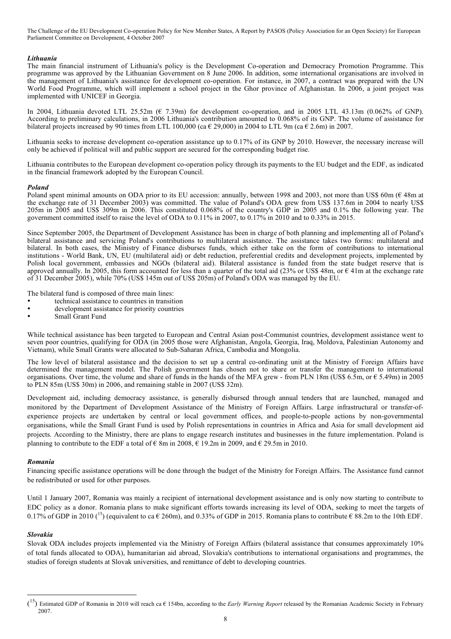#### *Lithuania*

The main financial instrument of Lithuania's policy is the Development Co-operation and Democracy Promotion Programme. This programme was approved by the Lithuanian Government on 8 June 2006. In addition, some international organisations are involved in the management of Lithuania's assistance for development co-operation. For instance, in 2007, a contract was prepared with the UN World Food Programme, which will implement a school project in the Ghor province of Afghanistan. In 2006, a joint project was implemented with UNICEF in Georgia.

In 2004, Lithuania devoted LTL 25.52m (€ 7.39m) for development co-operation, and in 2005 LTL 43.13m (0.062% of GNP). According to preliminary calculations, in 2006 Lithuania's contribution amounted to 0.068% of its GNP. The volume of assistance for bilateral projects increased by 90 times from LTL 100,000 (ca  $\epsilon$  29,000) in 2004 to LTL 9m (ca  $\epsilon$  2.6m) in 2007.

Lithuania seeks to increase development co-operation assistance up to 0.17% of its GNP by 2010. However, the necessary increase will only be achieved if political will and public support are secured for the corresponding budget rise.

Lithuania contributes to the European development co-operation policy through its payments to the EU budget and the EDF, as indicated in the financial framework adopted by the European Council.

#### *Poland*

Poland spent minimal amounts on ODA prior to its EU accession: annually, between 1998 and 2003, not more than US\$ 60m (€ 48m at the exchange rate of 31 December 2003) was committed. The value of Poland's ODA grew from US\$ 137.6m in 2004 to nearly US\$ 205m in 2005 and US\$ 309m in 2006. This constituted 0.068% of the country's GDP in 2005 and 0.1% the following year. The government committed itself to raise the level of ODA to 0.11% in 2007, to 0.17% in 2010 and to 0.33% in 2015.

Since September 2005, the Department of Development Assistance has been in charge of both planning and implementing all of Poland's bilateral assistance and servicing Poland's contributions to multilateral assistance. The assistance takes two forms: multilateral and bilateral. In both cases, the Ministry of Finance disburses funds, which either take on the form of contributions to international institutions - World Bank, UN, EU (multilateral aid) or debt reduction, preferential credits and development projects, implemented by Polish local government, embassies and NGOs (bilateral aid). Bilateral assistance is funded from the state budget reserve that is approved annually. In 2005, this form accounted for less than a quarter of the total aid (23% or US\$ 48m, or  $\epsilon$  41m at the exchange rate of 31 December 2005), while 70% (US\$ 145m out of US\$ 205m) of Poland's ODA was managed by the EU.

The bilateral fund is composed of three main lines:

- technical assistance to countries in transition
- development assistance for priority countries
- Small Grant Fund

While technical assistance has been targeted to European and Central Asian post-Communist countries, development assistance went to seven poor countries, qualifying for ODA (in 2005 those were Afghanistan, Angola, Georgia, Iraq, Moldova, Palestinian Autonomy and Vietnam), while Small Grants were allocated to Sub-Saharan Africa, Cambodia and Mongolia.

The low level of bilateral assistance and the decision to set up a central co-ordinating unit at the Ministry of Foreign Affairs have determined the management model. The Polish government has chosen not to share or transfer the management to international organisations. Over time, the volume and share of funds in the hands of the MFA grew - from PLN 18m (US\$ 6.5m, or  $\epsilon$  5.49m) in 2005 to PLN 85m (US\$ 30m) in 2006, and remaining stable in 2007 (US\$ 32m).

Development aid, including democracy assistance, is generally disbursed through annual tenders that are launched, managed and monitored by the Department of Development Assistance of the Ministry of Foreign Affairs. Large infrastructural or transfer-ofexperience projects are undertaken by central or local government offices, and people-to-people actions by non-governmental organisations, while the Small Grant Fund is used by Polish representations in countries in Africa and Asia for small development aid projects. According to the Ministry, there are plans to engage research institutes and businesses in the future implementation. Poland is planning to contribute to the EDF a total of  $\epsilon$  8m in 2008,  $\epsilon$  19.2m in 2009, and  $\epsilon$  29.5m in 2010.

#### *Romania*

Financing specific assistance operations will be done through the budget of the Ministry for Foreign Affairs. The Assistance fund cannot be redistributed or used for other purposes.

Until 1 January 2007, Romania was mainly a recipient of international development assistance and is only now starting to contribute to EDC policy as a donor. Romania plans to make significant efforts towards increasing its level of ODA, seeking to meet the targets of 0.17% of GDP in 2010 (<sup>15</sup>) (equivalent to ca  $\epsilon$  260m), and 0.33% of GDP in 2015. Romania plans to contribute  $\epsilon$  88.2m to the 10th EDF.

# *Slovakia*

Slovak ODA includes projects implemented via the Ministry of Foreign Affairs (bilateral assistance that consumes approximately 10% of total funds allocated to ODA), humanitarian aid abroad, Slovakia's contributions to international organisations and programmes, the studies of foreign students at Slovak universities, and remittance of debt to developing countries.

 $\overline{a}$ 15 ) Estimated GDP of Romania in 2010 will reach ca € 154bn, according to the *Early Warning Report* released by the Romanian Academic Society in February 2007.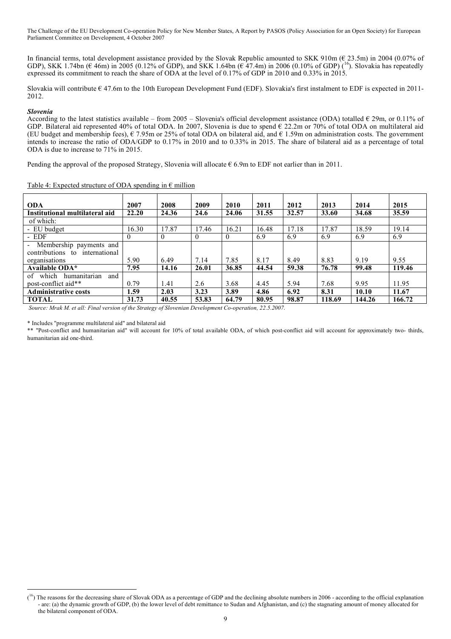In financial terms, total development assistance provided by the Slovak Republic amounted to SKK 910m (€ 23.5m) in 2004 (0.07% of GDP), SKK 1.74bn ( $\epsilon$  46m) in 2005 (0.12% of GDP), and SKK 1.64bn ( $\epsilon$  47.4m) in 2006 (0.10% of GDP) (<sup>16</sup>). Slovakia has repeatedly expressed its commitment to reach the share of ODA at the level of 0.17% of GDP in 2010 and 0.33% in 2015.

Slovakia will contribute  $\epsilon$  47.6m to the 10th European Development Fund (EDF). Slovakia's first instalment to EDF is expected in 2011-2012.

#### *Slovenia*

According to the latest statistics available – from 2005 – Slovenia's official development assistance (ODA) totalled  $\epsilon$  29m, or 0.11% of GDP. Bilateral aid represented 40% of total ODA. In 2007, Slovenia is due to spend  $\epsilon$  22.2m or 70% of total ODA on multilateral aid (EU budget and membership fees),  $€$  7.95m or 25% of total ODA on bilateral aid, and  $€$  1.59m on administration costs. The government intends to increase the ratio of ODA/GDP to 0.17% in 2010 and to 0.33% in 2015. The share of bilateral aid as a percentage of total ODA is due to increase to 71% in 2015.

Pending the approval of the proposed Strategy, Slovenia will allocate  $\epsilon$  6.9m to EDF not earlier than in 2011.

| <b>ODA</b>                         | 2007  | 2008     | 2009     | 2010     | 2011  | 2012  | 2013   | 2014   | 2015   |
|------------------------------------|-------|----------|----------|----------|-------|-------|--------|--------|--------|
| Institutional multilateral aid     | 22.20 | 24.36    | 24.6     | 24.06    | 31.55 | 32.57 | 33.60  | 34.68  | 35.59  |
| of which:                          |       |          |          |          |       |       |        |        |        |
| - EU budget                        | 16.30 | 17.87    | 17.46    | 16.21    | 16.48 | 17.18 | 17.87  | 18.59  | 19.14  |
| - EDF                              | O     | $\theta$ | $\Omega$ | $\theta$ | 6.9   | 6.9   | 6.9    | 6.9    | 6.9    |
| - Membership payments and          |       |          |          |          |       |       |        |        |        |
| contributions to<br>international  |       |          |          |          |       |       |        |        |        |
| organisations                      | 5.90  | 6.49     | 7.14     | 7.85     | 8.17  | 8.49  | 8.83   | 9.19   | 9.55   |
| <b>Available ODA*</b>              | 7.95  | 14.16    | 26.01    | 36.85    | 44.54 | 59.38 | 76.78  | 99.48  | 119.46 |
| humanitarian<br>which<br>and<br>of |       |          |          |          |       |       |        |        |        |
| post-conflict aid**                | 0.79  | 1.41     | 2.6      | 3.68     | 4.45  | 5.94  | 7.68   | 9.95   | 11.95  |
| <b>Administrative costs</b>        | 1.59  | 2.03     | 3.23     | 3.89     | 4.86  | 6.92  | 8.31   | 10.10  | 11.67  |
| <b>TOTAL</b>                       | 31.73 | 40.55    | 53.83    | 64.79    | 80.95 | 98.87 | 118.69 | 144.26 | 166.72 |

Table 4: Expected structure of ODA spending in  $\epsilon$  million

*Source: Mrak M. et all: Final version of the Strategy of Slovenian Development Co-operation, 22.5.2007.*

\* Includes "programme multilateral aid" and bilateral aid

\*\* "Post-conflict and humanitarian aid" will account for 10% of total available ODA, of which post-conflict aid will account for approximately two- thirds, humanitarian aid one-third.

 $\frac{1}{\sqrt{2}}$  $(16)$  The reasons for the decreasing share of Slovak ODA as a percentage of GDP and the declining absolute numbers in 2006 - according to the official explanation - are: (a) the dynamic growth of GDP, (b) the lower level of debt remittance to Sudan and Afghanistan, and (c) the stagnating amount of money allocated for the bilateral component of ODA.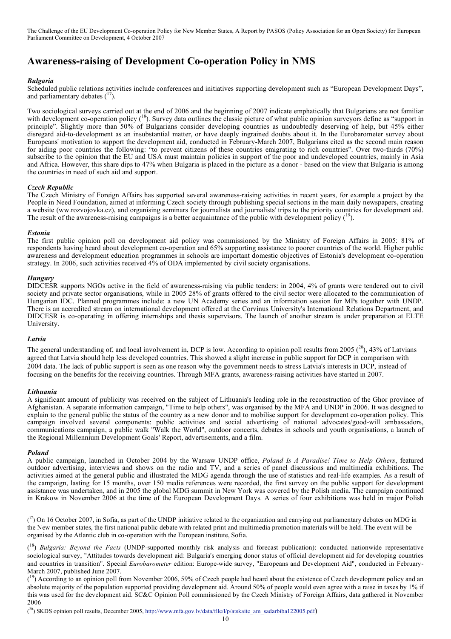# **Awareness-raising of Development Co-operation Policy in NMS**

#### *Bulgaria*

Scheduled public relations activities include conferences and initiatives supporting development such as "European Development Days", and parliamentary debates  $(^{17})$ .

Two sociological surveys carried out at the end of 2006 and the beginning of 2007 indicate emphatically that Bulgarians are not familiar with development co-operation policy (<sup>18</sup>). Survey data outlines the classic picture of what public opinion surveyors define as "support in principle". Slightly more than 50% of Bulgarians consider developing countries as undoubtedly deserving of help, but 45% either disregard aid-to-development as an insubstantial matter, or have deeply ingrained doubts about it. In the Eurobarometer survey about Europeans' motivation to support the development aid, conducted in February-March 2007, Bulgarians cited as the second main reason for aiding poor countries the following: "to prevent citizens of these countries emigrating to rich countries". Over two-thirds (70%) subscribe to the opinion that the EU and USA must maintain policies in support of the poor and undeveloped countries, mainly in Asia and Africa. However, this share dips to 47% when Bulgaria is placed in the picture as a donor - based on the view that Bulgaria is among the countries in need of such aid and support.

#### *Czech Republic*

The Czech Ministry of Foreign Affairs has supported several awareness-raising activities in recent years, for example a project by the People in Need Foundation, aimed at informing Czech society through publishing special sections in the main daily newspapers, creating a website (ww.rozvojovka.cz), and organising seminars for journalists and journalists' trips to the priority countries for development aid. The result of the awareness-raising campaigns is a better acquaintance of the public with development policy  $(^{19})$ .

#### *Estonia*

The first public opinion poll on development aid policy was commissioned by the Ministry of Foreign Affairs in 2005: 81% of respondents having heard about development co-operation and 65% supporting assistance to poorer countries of the world. Higher public awareness and development education programmes in schools are important domestic objectives of Estonia's development co-operation strategy. In 2006, such activities received 4% of ODA implemented by civil society organisations.

#### *Hungary*

DIDCESR supports NGOs active in the field of awareness-raising via public tenders: in 2004, 4% of grants were tendered out to civil society and private sector organisations, while in 2005 28% of grants offered to the civil sector were allocated to the communication of Hungarian IDC. Planned programmes include: a new UN Academy series and an information session for MPs together with UNDP. There is an accredited stream on international development offered at the Corvinus University's International Relations Department, and DIDCESR is co-operating in offering internships and thesis supervisors. The launch of another stream is under preparation at ELTE University.

#### *Latvia*

The general understanding of, and local involvement in, DCP is low. According to opinion poll results from 2005  $(^{20}$ , 43% of Latvians agreed that Latvia should help less developed countries. This showed a slight increase in public support for DCP in comparison with 2004 data. The lack of public support is seen as one reason why the government needs to stress Latvia's interests in DCP, instead of focusing on the benefits for the receiving countries. Through MFA grants, awareness-raising activities have started in 2007.

#### *Lithuania*

A significant amount of publicity was received on the subject of Lithuania's leading role in the reconstruction of the Ghor province of Afghanistan. A separate information campaign, "Time to help others", was organised by the MFA and UNDP in 2006. It was designed to explain to the general public the status of the country as a new donor and to mobilise support for development co-operation policy. This campaign involved several components: public activities and social advertising of national advocates/good-will ambassadors, communications campaign, a public walk "Walk the World", outdoor concerts, debates in schools and youth organisations, a launch of the Regional Millennium Development Goals' Report, advertisements, and a film.

#### *Poland*

A public campaign, launched in October 2004 by the Warsaw UNDP office, *Poland Is A Paradise! Time to Help Others*, featured outdoor advertising, interviews and shows on the radio and TV, and a series of panel discussions and multimedia exhibitions. The activities aimed at the general public and illustrated the MDG agenda through the use of statistics and real-life examples. As a result of the campaign, lasting for 15 months, over 150 media references were recorded, the first survey on the public support for development assistance was undertaken, and in 2005 the global MDG summit in New York was covered by the Polish media. The campaign continued in Krakow in November 2006 at the time of the European Development Days. A series of four exhibitions was held in major Polish

 $\overline{a}$  $(17)$  On 16 October 2007, in Sofia, as part of the UNDP initiative related to the organization and carrying out parliamentary debates on MDG in the New member states, the first national public debate with related print and multimedia promotion materials will be held. The event will be organised by the Atlantic club in co-operation with the European institute, Sofia.

<sup>(</sup> 18 ) *Bulgaria: Beyond the Facts* (UNDP-supported monthly risk analysis and forecast publication): conducted nationwide representative sociological survey, "Attitudes towards development aid: Bulgaria's emerging donor status of official development aid for developing countries and countries in transition". Special *Eurobarometer* edition: Europe-wide survey, "Europeans and Development Aid", conducted in February-March 2007, published June 2007.

 $(19)$  According to an opinion poll from November 2006, 59% of Czech people had heard about the existence of Czech development policy and an absolute majority of the population supported providing development aid. Around 50% of people would even agree with a raise in taxes by 1% if this was used for the development aid. SC&C Opinion Poll commissioned by the Czech Ministry of Foreign Affairs, data gathered in November 2006

 $(2^0)$  SKDS opinion poll results, December 2005, http://www.mfa.gov.lv/data/file/l/p/atskaite\_am\_sadarbiba122005.pdf)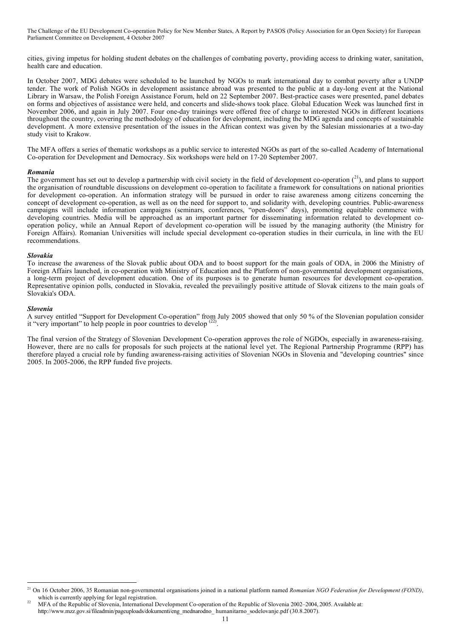cities, giving impetus for holding student debates on the challenges of combating poverty, providing access to drinking water, sanitation, health care and education.

In October 2007, MDG debates were scheduled to be launched by NGOs to mark international day to combat poverty after a UNDP tender. The work of Polish NGOs in development assistance abroad was presented to the public at a day-long event at the National Library in Warsaw, the Polish Foreign Assistance Forum, held on 22 September 2007. Best-practice cases were presented, panel debates on forms and objectives of assistance were held, and concerts and slide-shows took place. Global Education Week was launched first in November 2006, and again in July 2007. Four one-day trainings were offered free of charge to interested NGOs in different locations throughout the country, covering the methodology of education for development, including the MDG agenda and concepts of sustainable development. A more extensive presentation of the issues in the African context was given by the Salesian missionaries at a two-day study visit to Krakow.

The MFA offers a series of thematic workshops as a public service to interested NGOs as part of the so-called Academy of International Co-operation for Development and Democracy. Six workshops were held on 17-20 September 2007.

#### *Romania*

The government has set out to develop a partnership with civil society in the field of development co-operation  $\binom{21}{1}$ , and plans to support the organisation of roundtable discussions on development co-operation to facilitate a framework for consultations on national priorities for development co-operation. An information strategy will be pursued in order to raise awareness among citizens concerning the concept of development co-operation, as well as on the need for support to, and solidarity with, developing countries. Public-awareness campaigns will include information campaigns (seminars, conferences, "open-doors" days), promoting equitable commerce with developing countries. Media will be approached as an important partner for disseminating information related to development cooperation policy, while an Annual Report of development co-operation will be issued by the managing authority (the Ministry for Foreign Affairs). Romanian Universities will include special development co-operation studies in their curricula, in line with the EU recommendations.

#### *Slovakia*

To increase the awareness of the Slovak public about ODA and to boost support for the main goals of ODA, in 2006 the Ministry of Foreign Affairs launched, in co-operation with Ministry of Education and the Platform of non-governmental development organisations, a long-term project of development education. One of its purposes is to generate human resources for development co-operation. Representative opinion polls, conducted in Slovakia, revealed the prevailingly positive attitude of Slovak citizens to the main goals of Slovakia's ODA.

#### *Slovenia*

A survey entitled "Support for Development Co-operation" from July 2005 showed that only 50 % of the Slovenian population consider it "very important" to help people in poor countries to develop <sup>(22)</sup>.

The final version of the Strategy of Slovenian Development Co-operation approves the role of NGDOs, especially in awareness-raising. However, there are no calls for proposals for such projects at the national level yet. The Regional Partnership Programme (RPP) has therefore played a crucial role by funding awareness-raising activities of Slovenian NGOs in Slovenia and "developing countries" since 2005. In 2005-2006, the RPP funded five projects.

 <sup>21</sup> On <sup>16</sup> October 2006, <sup>35</sup> Romanian non-governmental organisations joined in <sup>a</sup> national platform named *Romanian NGO Federation for Development (FOND)*, which is currently applying for legal registration.

<sup>22</sup> MFA of the Republic of Slovenia, International Development Co-operation of the Republic of Slovenia 2002–2004, 2005. Available at: http://www.mzz.gov.si/fileadmin/pageuploads/dokumenti/eng\_mednarodno\_ humanitarno\_sodelovanje.pdf (30.8.2007).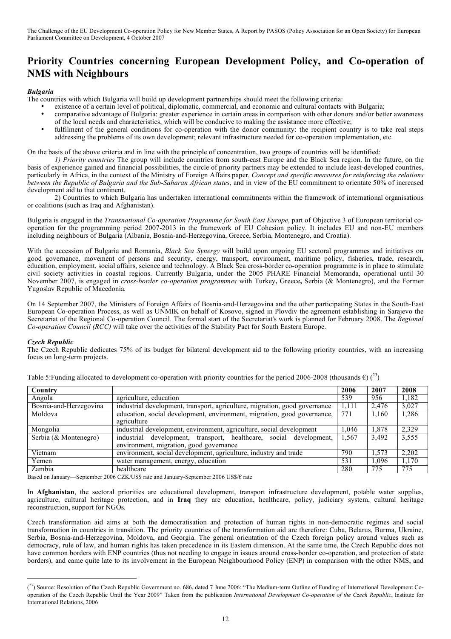# **Priority Countries concerning European Development Policy, and Co-operation of NMS with Neighbours**

### *Bulgaria*

The countries with which Bulgaria will build up development partnerships should meet the following criteria:

- existence of a certain level of political, diplomatic, commercial, and economic and cultural contacts with Bulgaria;
- comparative advantage of Bulgaria: greater experience in certain areas in comparison with other donors and/or better awareness of the local needs and characteristics, which will be conducive to making the assistance more effective;
- fulfilment of the general conditions for co-operation with the donor community: the recipient country is to take real steps addressing the problems of its own development; relevant infrastructure needed for co-operation implementation, etc.

On the basis of the above criteria and in line with the principle of concentration, two groups of countries will be identified:

*1) Priority countries* The group will include countries from south-east Europe and the Black Sea region. In the future, on the basis of experience gained and financial possibilities, the circle of priority partners may be extended to include least-developed countries, particularly in Africa, in the context of the Ministry of Foreign Affairs paper, *Concept and specific measures for reinforcing the relations between the Republic of Bulgaria and the Sub-Saharan African states*, and in view of the EU commitment to orientate 50% of increased development aid to that continent.

2) Countries to which Bulgaria has undertaken international commitments within the framework of international organisations or coalitions (such as Iraq and Afghanistan).

Bulgaria is engaged in the *Transnational Co-operation Programme for South East Europe*, part of Objective 3 of European territorial cooperation for the programming period 2007-2013 in the framework of EU Cohesion policy. It includes EU and non-EU members including neighbours of Bulgaria (Albania, Bosnia-and-Herzegovina, Greece, Serbia, Montenegro, and Croatia).

With the accession of Bulgaria and Romania, *Black Sea Synergy* will build upon ongoing EU sectoral programmes and initiatives on good governance, movement of persons and security, energy, transport, environment, maritime policy, fisheries, trade, research, education, employment, social affairs, science and technology. A Black Sea cross-border co-operation programme is in place to stimulate civil society activities in coastal regions. Currently Bulgaria, under the 2005 PHARE Financial Memoranda, operational until 30 November 2007, is engaged in *cross-border co-operation programmes* with Turkey**,** Greece**,** Serbia (& Montenegro), and the Former Yugoslav Republic of Macedonia*.*

On 14 September 2007, the Ministers of Foreign Affairs of Bosnia-and-Herzegovina and the other participating States in the South-East European Co-operation Process, as well as UNMIK on behalf of Kosovo, signed in Plovdiv the agreement establishing in Sarajevo the Secretariat of the Regional Co-operation Council. The formal start of the Secretariat's work is planned for February 2008. The *Regional Co-operation Council (RCC)* will take over the activities of the Stability Pact for South Eastern Europe.

#### *Czech Republic*

The Czech Republic dedicates 75% of its budget for bilateral development aid to the following priority countries, with an increasing focus on long-term projects.

| Country                |                                                                                                               | 2006  | 2007  | 2008  |
|------------------------|---------------------------------------------------------------------------------------------------------------|-------|-------|-------|
| Angola                 | agriculture, education                                                                                        | 539   | 956   | 1,182 |
| Bosnia-and-Herzegovina | industrial development, transport, agriculture, migration, good governance                                    | 1,111 | 2,476 | 3,027 |
| Moldova                | education, social development, environment, migration, good governance,<br>agriculture                        | 771   | 1,160 | 1,286 |
| Mongolia               | industrial development, environment, agriculture, social development                                          | 1,046 | 1,878 | 2,329 |
| Serbia (& Montenegro)  | industrial development, transport, healthcare, social development,<br>environment, migration, good governance | 1,567 | 3,492 | 3,555 |
| Vietnam                | environment, social development, agriculture, industry and trade                                              | 790   | 1,573 | 2,202 |
| Yemen                  | water management, energy, education                                                                           | 531   | 1,096 | 1,170 |
| Zambia                 | healthcare                                                                                                    | 280   | 775   | 775   |

Table 5: Funding allocated to development co-operation with priority countries for the period 2006-2008 (thousands  $\epsilon$ ) (<sup>23</sup>)

Based on January—September 2006 CZK/US\$ rate and January-September 2006 US\$/€ rate

In **Afghanistan**, the sectoral priorities are educational development, transport infrastructure development, potable water supplies, agriculture, cultural heritage protection, and in **Iraq** they are education, healthcare, policy, judiciary system, cultural heritage reconstruction, support for NGOs.

Czech transformation aid aims at both the democratisation and protection of human rights in non-democratic regimes and social transformation in countries in transition. The priority countries of the transformation aid are therefore: Cuba, Belarus, Burma, Ukraine, Serbia, Bosnia-and-Herzegovina, Moldova, and Georgia. The general orientation of the Czech foreign policy around values such as democracy, rule of law, and human rights has taken precedence in its Eastern dimension. At the same time, the Czech Republic does not have common borders with ENP countries (thus not needing to engage in issues around cross-border co-operation, and protection of state borders), and came quite late to its involvement in the European Neighbourhood Policy (ENP) in comparison with the other NMS, and

 <sup>(</sup>  $^{(23)}$  Source: Resolution of the Czech Republic Government no. 686, dated 7 June 2006: "The Medium-term Outline of Funding of International Development Cooperation of the Czech Republic Until the Year 2009" Taken from the publication *International Development Co-operation of the Czech Republic*, Institute for International Relations, 2006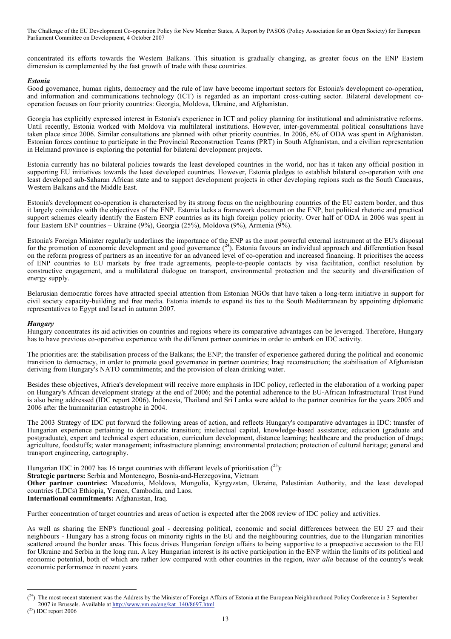concentrated its efforts towards the Western Balkans. This situation is gradually changing, as greater focus on the ENP Eastern dimension is complemented by the fast growth of trade with these countries.

#### *Estonia*

Good governance, human rights, democracy and the rule of law have become important sectors for Estonia's development co-operation, and information and communications technology (ICT) is regarded as an important cross-cutting sector. Bilateral development cooperation focuses on four priority countries: Georgia, Moldova, Ukraine, and Afghanistan.

Georgia has explicitly expressed interest in Estonia's experience in ICT and policy planning for institutional and administrative reforms. Until recently, Estonia worked with Moldova via multilateral institutions. However, inter-governmental political consultations have taken place since 2006. Similar consultations are planned with other priority countries. In 2006, 6% of ODA was spent in Afghanistan. Estonian forces continue to participate in the Provincial Reconstruction Teams (PRT) in South Afghanistan, and a civilian representation in Helmand province is exploring the potential for bilateral development projects.

Estonia currently has no bilateral policies towards the least developed countries in the world, nor has it taken any official position in supporting EU initiatives towards the least developed countries. However, Estonia pledges to establish bilateral co-operation with one least developed sub-Saharan African state and to support development projects in other developing regions such as the South Caucasus, Western Balkans and the Middle East.

Estonia's development co-operation is characterised by its strong focus on the neighbouring countries of the EU eastern border, and thus it largely coincides with the objectives of the ENP. Estonia lacks a framework document on the ENP, but political rhetoric and practical support schemes clearly identify the Eastern ENP countries as its high foreign policy priority. Over half of ODA in 2006 was spent in four Eastern ENP countries – Ukraine (9%), Georgia (25%), Moldova (9%), Armenia (9%).

Estonia's Foreign Minister regularly underlines the importance of the ENP as the most powerful external instrument at the EU's disposal for the promotion of economic development and good governance  $(24)$ . Estonia favours an individual approach and differentiation based on the reform progress of partners as an incentive for an advanced level of co-operation and increased financing. It prioritises the access of ENP countries to EU markets by free trade agreements, people-to-people contacts by visa facilitation, conflict resolution by constructive engagement, and a multilateral dialogue on transport, environmental protection and the security and diversification of energy supply.

Belarusian democratic forces have attracted special attention from Estonian NGOs that have taken a long-term initiative in support for civil society capacity-building and free media. Estonia intends to expand its ties to the South Mediterranean by appointing diplomatic representatives to Egypt and Israel in autumn 2007.

# *Hungary*

Hungary concentrates its aid activities on countries and regions where its comparative advantages can be leveraged. Therefore, Hungary has to have previous co-operative experience with the different partner countries in order to embark on IDC activity.

The priorities are: the stabilisation process of the Balkans; the ENP; the transfer of experience gathered during the political and economic transition to democracy, in order to promote good governance in partner countries; Iraqi reconstruction; the stabilisation of Afghanistan deriving from Hungary's NATO commitments; and the provision of clean drinking water.

Besides these objectives, Africa's development will receive more emphasis in IDC policy, reflected in the elaboration of a working paper on Hungary's African development strategy at the end of 2006; and the potential adherence to the EU-African Infrastructural Trust Fund is also being addressed (IDC report 2006). Indonesia, Thailand and Sri Lanka were added to the partner countries for the years 2005 and 2006 after the humanitarian catastrophe in 2004.

The 2003 Strategy of IDC put forward the following areas of action, and reflects Hungary's comparative advantages in IDC: transfer of Hungarian experience pertaining to democratic transition; intellectual capital, knowledge-based assistance; education (graduate and postgraduate), expert and technical expert education, curriculum development, distance learning; healthcare and the production of drugs; agriculture, foodstuffs; water management; infrastructure planning; environmental protection; protection of cultural heritage; general and transport engineering, cartography.

Hungarian IDC in 2007 has 16 target countries with different levels of prioritisation  $(^{25})$ :

**Strategic partners:** Serbia and Montenegro, Bosnia-and-Herzegovina, Vietnam

**Other partner countries:** Macedonia, Moldova, Mongolia, Kyrgyzstan, Ukraine, Palestinian Authority, and the least developed countries (LDCs) Ethiopia, Yemen, Cambodia, and Laos.

**International commitments:** Afghanistan, Iraq.

Further concentration of target countries and areas of action is expected after the 2008 review of IDC policy and activities.

As well as sharing the ENP's functional goal - decreasing political, economic and social differences between the EU 27 and their neighbours - Hungary has a strong focus on minority rights in the EU and the neighbouring countries, due to the Hungarian minorities scattered around the border areas. This focus drives Hungarian foreign affairs to being supportive to a prospective accession to the EU for Ukraine and Serbia in the long run. A key Hungarian interest is its active participation in the ENP within the limits of its political and economic potential, both of which are rather low compared with other countries in the region, *inter alia* because of the country's weak economic performance in recent years.

 <sup>(</sup>  $\binom{24}{1}$  The most recent statement was the Address by the Minister of Foreign Affairs of Estonia at the European Neighbourhood Policy Conference in 3 September 2007 in Brussels. Available at http://www.vm.ee/eng/kat\_140/8697.html

 $(25)$  IDC report 2006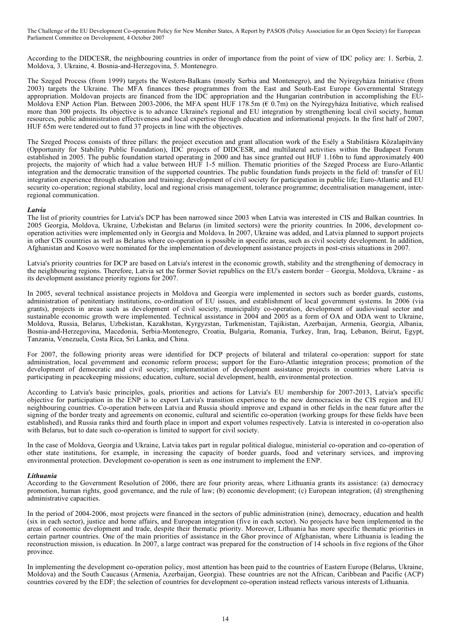According to the DIDCESR, the neighbouring countries in order of importance from the point of view of IDC policy are: 1. Serbia, 2. Moldova, 3. Ukraine, 4. Bosnia-and-Herzegovina, 5. Montenegro.

The Szeged Process (from 1999) targets the Western-Balkans (mostly Serbia and Montenegro), and the Nyíregyháza Initiative (from 2003) targets the Ukraine. The MFA finances these programmes from the East and South-East Europe Governmental Strategy appropriation. Moldovan projects are financed from the IDC appropriation and the Hungarian contribution in accomplishing the EU-Moldova ENP Action Plan. Between 2003-2006, the MFA spent HUF 178.5m ( $\epsilon$  0.7m) on the Nyíregyháza Initiative, which realised more than 300 projects. Its objective is to advance Ukraine's regional and EU integration by strengthening local civil society, human resources, public administration effectiveness and local expertise through education and informational projects. In the first half of 2007, HUF 65m were tendered out to fund 37 projects in line with the objectives.

The Szeged Process consists of three pillars: the project execution and grant allocation work of the Esély a Stabilitásra Közalapítvány (Opportunity for Stability Public Foundation), IDC projects of DIDCESR, and multilateral activities within the Budapest Forum established in 2005. The public foundation started operating in 2000 and has since granted out HUF 1.16bn to fund approximately 400 projects, the majority of which had a value between HUF 1-5 million. Thematic priorities of the Szeged Process are Euro-Atlantic integration and the democratic transition of the supported countries. The public foundation funds projects in the field of: transfer of EU integration experience through education and training; development of civil society for participation in public life; Euro-Atlantic and EU security co-operation; regional stability, local and regional crisis management, tolerance programme; decentralisation management, interregional communication.

#### *Latvia*

The list of priority countries for Latvia's DCP has been narrowed since 2003 when Latvia was interested in CIS and Balkan countries. In 2005 Georgia, Moldova, Ukraine, Uzbekistan and Belarus (in limited sectors) were the priority countries. In 2006, development cooperation activities were implemented only in Georgia and Moldova. In 2007, Ukraine was added, and Latvia planned to support projects in other CIS countries as well as Belarus where co-operation is possible in specific areas, such as civil society development. In addition, Afghanistan and Kosovo were nominated for the implementation of development assistance projects in post-crisis situations in 2007.

Latvia's priority countries for DCP are based on Latvia's interest in the economic growth, stability and the strengthening of democracy in the neighbouring regions. Therefore, Latvia set the former Soviet republics on the EU's eastern border – Georgia, Moldova, Ukraine - as its development assistance priority regions for 2007.

In 2005, several technical assistance projects in Moldova and Georgia were implemented in sectors such as border guards, customs, administration of penitentiary institutions, co-ordination of EU issues, and establishment of local government systems. In 2006 (via grants), projects in areas such as development of civil society, municipality co-operation, development of audiovisual sector and sustainable economic growth were implemented. Technical assistance in 2004 and 2005 as a form of OA and ODA went to Ukraine, Moldova, Russia, Belarus, Uzbekistan, Kazakhstan, Kyrgyzstan, Turkmenistan, Tajikistan, Azerbaijan, Armenia, Georgia, Albania, Bosnia-and-Herzegovina, Macedonia, Serbia-Montenegro, Croatia, Bulgaria, Romania, Turkey, Iran, Iraq, Lebanon, Beirut, Egypt, Tanzania, Venezuela, Costa Rica, Sri Lanka, and China.

For 2007, the following priority areas were identified for DCP projects of bilateral and trilateral co-operation: support for state administration, local government and economic reform process; support for the Euro-Atlantic integration process; promotion of the development of democratic and civil society; implementation of development assistance projects in countries where Latvia is participating in peacekeeping missions; education, culture, social development, health, environmental protection.

According to Latvia's basic principles, goals, priorities and actions for Latvia's EU membership for 2007-2013, Latvia's specific objective for participation in the ENP is to export Latvia's transition experience to the new democracies in the CIS region and EU neighbouring countries. Co-operation between Latvia and Russia should improve and expand in other fields in the near future after the signing of the border treaty and agreements on economic, cultural and scientific co-operation (working groups for these fields have been established), and Russia ranks third and fourth place in import and export volumes respectively. Latvia is interested in co-operation also with Belarus, but to date such co-operation is limited to support for civil society.

In the case of Moldova, Georgia and Ukraine, Latvia takes part in regular political dialogue, ministerial co-operation and co-operation of other state institutions, for example, in increasing the capacity of border guards, food and veterinary services, and improving environmental protection. Development co-operation is seen as one instrument to implement the ENP.

#### *Lithuania*

According to the Government Resolution of 2006, there are four priority areas, where Lithuania grants its assistance: (a) democracy promotion, human rights, good governance, and the rule of law; (b) economic development; (c) European integration; (d) strengthening administrative capacities.

In the period of 2004-2006, most projects were financed in the sectors of public administration (nine), democracy, education and health (six in each sector), justice and home affairs, and European integration (five in each sector). No projects have been implemented in the areas of economic development and trade, despite their thematic priority. Moreover, Lithuania has more specific thematic priorities in certain partner countries. One of the main priorities of assistance in the Ghor province of Afghanistan, where Lithuania is leading the reconstruction mission, is education. In 2007, a large contract was prepared for the construction of 14 schools in five regions of the Ghor province.

In implementing the development co-operation policy, most attention has been paid to the countries of Eastern Europe (Belarus, Ukraine, Moldova) and the South Caucasus (Armenia, Azerbaijan, Georgia). These countries are not the African, Caribbean and Pacific (ACP) countries covered by the EDF; the selection of countries for development co-operation instead reflects various interests of Lithuania.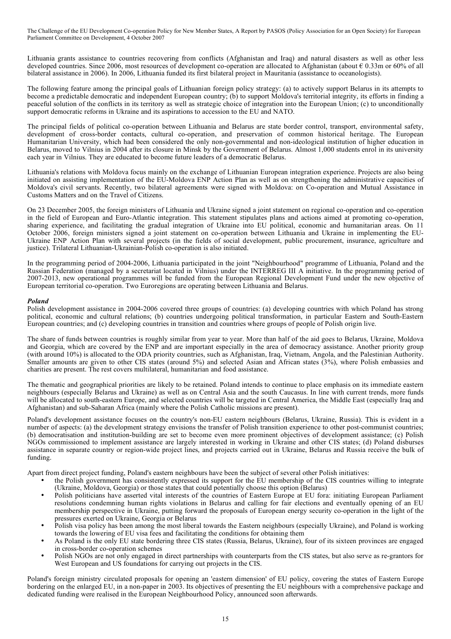Lithuania grants assistance to countries recovering from conflicts (Afghanistan and Iraq) and natural disasters as well as other less developed countries. Since 2006, most resources of development co-operation are allocated to Afghanistan (about  $\epsilon$  0.33m or 60% of all bilateral assistance in 2006). In 2006, Lithuania funded its first bilateral project in Mauritania (assistance to oceanologists).

The following feature among the principal goals of Lithuanian foreign policy strategy: (a) to actively support Belarus in its attempts to become a predictable democratic and independent European country; (b) to support Moldova's territorial integrity, its efforts in finding a peaceful solution of the conflicts in its territory as well as strategic choice of integration into the European Union; (c) to unconditionally support democratic reforms in Ukraine and its aspirations to accession to the EU and NATO.

The principal fields of political co-operation between Lithuania and Belarus are state border control, transport, environmental safety, development of cross-border contacts, cultural co-operation, and preservation of common historical heritage. The European Humanitarian University, which had been considered the only non-governmental and non-ideological institution of higher education in Belarus, moved to Vilnius in 2004 after its closure in Minsk by the Government of Belarus. Almost 1,000 students enrol in its university each year in Vilnius. They are educated to become future leaders of a democratic Belarus.

Lithuania's relations with Moldova focus mainly on the exchange of Lithuanian European integration experience. Projects are also being initiated on assisting implementation of the EU-Moldova ENP Action Plan as well as on strengthening the administrative capacities of Moldova's civil servants. Recently, two bilateral agreements were signed with Moldova: on Co-operation and Mutual Assistance in Customs Matters and on the Travel of Citizens.

On 23 December 2005, the foreign ministers of Lithuania and Ukraine signed a joint statement on regional co-operation and co-operation in the field of European and Euro-Atlantic integration. This statement stipulates plans and actions aimed at promoting co-operation, sharing experience, and facilitating the gradual integration of Ukraine into EU political, economic and humanitarian areas. On 11 October 2006, foreign ministers signed a joint statement on co-operation between Lithuania and Ukraine in implementing the EU-Ukraine ENP Action Plan with several projects (in the fields of social development, public procurement, insurance, agriculture and justice). Trilateral Lithuanian-Ukrainian-Polish co-operation is also initiated.

In the programming period of 2004-2006, Lithuania participated in the joint "Neighbourhood" programme of Lithuania, Poland and the Russian Federation (managed by a secretariat located in Vilnius) under the INTERREG III A initiative. In the programming period of 2007-2013, new operational programmes will be funded from the European Regional Development Fund under the new objective of European territorial co-operation. Two Euroregions are operating between Lithuania and Belarus.

#### *Poland*

Polish development assistance in 2004-2006 covered three groups of countries: (a) developing countries with which Poland has strong political, economic and cultural relations; (b) countries undergoing political transformation, in particular Eastern and South-Eastern European countries; and (c) developing countries in transition and countries where groups of people of Polish origin live.

The share of funds between countries is roughly similar from year to year. More than half of the aid goes to Belarus, Ukraine, Moldova and Georgia, which are covered by the ENP and are important especially in the area of democracy assistance. Another priority group (with around 10%) is allocated to the ODA priority countries, such as Afghanistan, Iraq, Vietnam, Angola, and the Palestinian Authority. Smaller amounts are given to other CIS states (around 5%) and selected Asian and African states (3%), where Polish embassies and charities are present. The rest covers multilateral, humanitarian and food assistance.

The thematic and geographical priorities are likely to be retained. Poland intends to continue to place emphasis on its immediate eastern neighbours (especially Belarus and Ukraine) as well as on Central Asia and the south Caucasus. In line with current trends, more funds will be allocated to south-eastern Europe, and selected countries will be targeted in Central America, the Middle East (especially Iraq and Afghanistan) and sub-Saharan Africa (mainly where the Polish Catholic missions are present).

Poland's development assistance focuses on the country's non-EU eastern neighbours (Belarus, Ukraine, Russia). This is evident in a number of aspects: (a) the development strategy envisions the transfer of Polish transition experience to other post-communist countries; (b) democratisation and institution-building are set to become even more prominent objectives of development assistance; (c) Polish NGOs commissioned to implement assistance are largely interested in working in Ukraine and other CIS states; (d) Poland disburses assistance in separate country or region-wide project lines, and projects carried out in Ukraine, Belarus and Russia receive the bulk of funding.

Apart from direct project funding, Poland's eastern neighbours have been the subject of several other Polish initiatives:

- the Polish government has consistently expressed its support for the EU membership of the CIS countries willing to integrate (Ukraine, Moldova, Georgia) or those states that could potentially choose this option (Belarus)
- Polish politicians have asserted vital interests of the countries of Eastern Europe at EU fora: initiating European Parliament resolutions condemning human rights violations in Belarus and calling for fair elections and eventually opening of an EU membership perspective in Ukraine, putting forward the proposals of European energy security co-operation in the light of the pressures exerted on Ukraine, Georgia or Belarus
- Polish visa policy has been among the most liberal towards the Eastern neighbours (especially Ukraine), and Poland is working towards the lowering of EU visa fees and facilitating the conditions for obtaining them
- As Poland is the only EU state bordering three CIS states (Russia, Belarus, Ukraine), four of its sixteen provinces are engaged in cross-border co-operation schemes
- Polish NGOs are not only engaged in direct partnerships with counterparts from the CIS states, but also serve as re-grantors for West European and US foundations for carrying out projects in the CIS.

Poland's foreign ministry circulated proposals for opening an 'eastern dimension' of EU policy, covering the states of Eastern Europe bordering on the enlarged EU, in a non-paper in 2003. Its objectives of presenting the EU neighbours with a comprehensive package and dedicated funding were realised in the European Neighbourhood Policy, announced soon afterwards.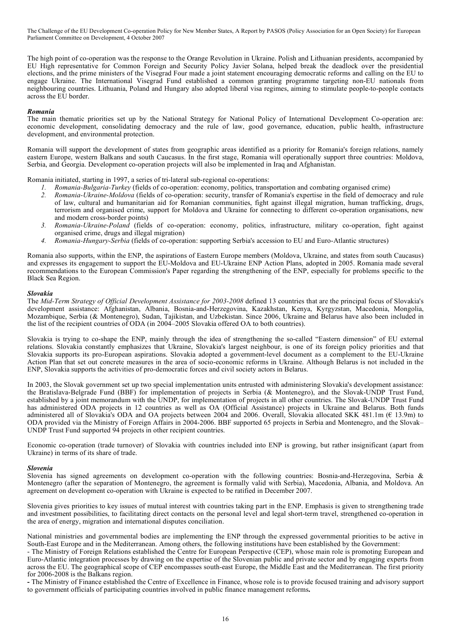The high point of co-operation was the response to the Orange Revolution in Ukraine. Polish and Lithuanian presidents, accompanied by EU High representative for Common Foreign and Security Policy Javier Solana, helped break the deadlock over the presidential elections, and the prime ministers of the Visegrad Four made a joint statement encouraging democratic reforms and calling on the EU to engage Ukraine. The International Visegrad Fund established a common granting programme targeting non-EU nationals from neighbouring countries. Lithuania, Poland and Hungary also adopted liberal visa regimes, aiming to stimulate people-to-people contacts across the EU border.

#### *Romania*

The main thematic priorities set up by the National Strategy for National Policy of International Development Co-operation are: economic development, consolidating democracy and the rule of law, good governance, education, public health, infrastructure development, and environmental protection.

Romania will support the development of states from geographic areas identified as a priority for Romania's foreign relations, namely eastern Europe, western Balkans and south Caucasus. In the first stage, Romania will operationally support three countries: Moldova, Serbia, and Georgia. Development co-operation projects will also be implemented in Iraq and Afghanistan.

Romania initiated, starting in 1997, a series of tri-lateral sub-regional co-operations:

- *1. Romania-Bulgaria-Turkey* (fields of co-operation: economy, politics, transportation and combating organised crime)
- *2. Romania-Ukraine-Moldova* (fields of co-operation: security, transfer of Romania's expertise in the field of democracy and rule of law, cultural and humanitarian aid for Romanian communities, fight against illegal migration, human trafficking, drugs, terrorism and organised crime, support for Moldova and Ukraine for connecting to different co-operation organisations, new and modern cross-border points)
- *3. Romania-Ukraine-Poland* (fields of co-operation: economy, politics, infrastructure, military co-operation, fight against organised crime, drugs and illegal migration)
- *4. Romania-Hungary-Serbia* (fields of co-operation: supporting Serbia's accession to EU and Euro-Atlantic structures)

Romania also supports, within the ENP, the aspirations of Eastern Europe members (Moldova, Ukraine, and states from south Caucasus) and expresses its engagement to support the EU-Moldova and EU-Ukraine ENP Action Plans, adopted in 2005. Romania made several recommendations to the European Commission's Paper regarding the strengthening of the ENP, especially for problems specific to the Black Sea Region.

#### *Slovakia*

The *Mid-Term Strategy of Official Development Assistance for 2003-2008* defined 13 countries that are the principal focus of Slovakia's development assistance: Afghanistan, Albania, Bosnia-and-Herzegovina, Kazakhstan, Kenya, Kyrgyzstan, Macedonia, Mongolia, Mozambique, Serbia (& Montenegro), Sudan, Tajikistan, and Uzbekistan. Since 2006, Ukraine and Belarus have also been included in the list of the recipient countries of ODA (in 2004–2005 Slovakia offered OA to both countries).

Slovakia is trying to co-shape the ENP, mainly through the idea of strengthening the so-called "Eastern dimension" of EU external relations. Slovakia constantly emphasizes that Ukraine, Slovakia's largest neighbour, is one of its foreign policy priorities and that Slovakia supports its pro-European aspirations. Slovakia adopted a government-level document as a complement to the EU-Ukraine Action Plan that set out concrete measures in the area of socio-economic reforms in Ukraine. Although Belarus is not included in the ENP, Slovakia supports the activities of pro-democratic forces and civil society actors in Belarus.

In 2003, the Slovak government set up two special implementation units entrusted with administering Slovakia's development assistance: the Bratislava-Belgrade Fund (BBF) for implementation of projects in Serbia (& Montenegro), and the Slovak-UNDP Trust Fund, established by a joint memorandum with the UNDP, for implementation of projects in all other countries. The Slovak-UNDP Trust Fund has administered ODA projects in 12 countries as well as OA (Official Assistance) projects in Ukraine and Belarus. Both funds administered all of Slovakia's ODA and OA projects between 2004 and 2006. Overall, Slovakia allocated SKK 481.1m ( $\epsilon$  13.9m) to ODA provided via the Ministry of Foreign Affairs in 2004-2006. BBF supported 65 projects in Serbia and Montenegro, and the Slovak– UNDP Trust Fund supported 94 projects in other recipient countries.

Economic co-operation (trade turnover) of Slovakia with countries included into ENP is growing, but rather insignificant (apart from Ukraine) in terms of its share of trade.

#### *Slovenia*

Slovenia has signed agreements on development co-operation with the following countries: Bosnia-and-Herzegovina, Serbia & Montenegro (after the separation of Montenegro, the agreement is formally valid with Serbia), Macedonia, Albania, and Moldova. An agreement on development co-operation with Ukraine is expected to be ratified in December 2007.

Slovenia gives priorities to key issues of mutual interest with countries taking part in the ENP. Emphasis is given to strengthening trade and investment possibilities, to facilitating direct contacts on the personal level and legal short-term travel, strengthened co-operation in the area of energy, migration and international disputes conciliation.

National ministries and governmental bodies are implementing the ENP through the expressed governmental priorities to be active in South-East Europe and in the Mediterranean. Among others, the following institutions have been established by the Government:

- The Ministry of Foreign Relations established the Centre for European Perspective (CEP), whose main role is promoting European and Euro-Atlantic integration processes by drawing on the expertise of the Slovenian public and private sector and by engaging experts from across the EU. The geographical scope of CEP encompasses south-east Europe, the Middle East and the Mediterranean. The first priority for 2006-2008 is the Balkans region.

**-** The Ministry of Finance established the Centre of Excellence in Finance, whose role is to provide focused training and advisory support to government officials of participating countries involved in public finance management reforms**.**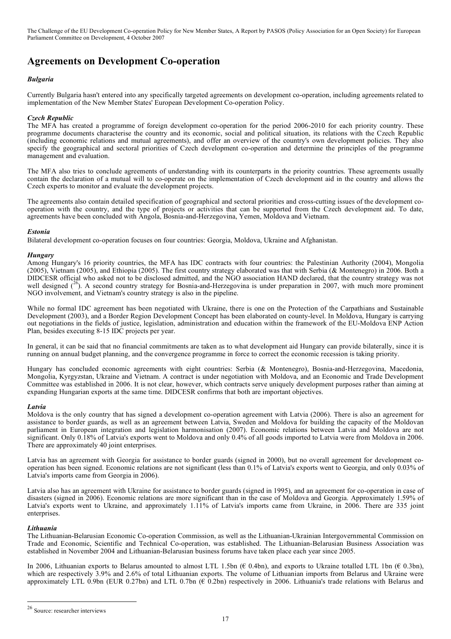# **Agreements on Development Co-operation**

### *Bulgaria*

Currently Bulgaria hasn't entered into any specifically targeted agreements on development co-operation, including agreements related to implementation of the New Member States' European Development Co-operation Policy.

#### *Czech Republic*

The MFA has created a programme of foreign development co-operation for the period 2006-2010 for each priority country. These programme documents characterise the country and its economic, social and political situation, its relations with the Czech Republic (including economic relations and mutual agreements), and offer an overview of the country's own development policies. They also specify the geographical and sectoral priorities of Czech development co-operation and determine the principles of the programme management and evaluation.

The MFA also tries to conclude agreements of understanding with its counterparts in the priority countries. These agreements usually contain the declaration of a mutual will to co-operate on the implementation of Czech development aid in the country and allows the Czech experts to monitor and evaluate the development projects.

The agreements also contain detailed specification of geographical and sectoral priorities and cross-cutting issues of the development cooperation with the country, and the type of projects or activities that can be supported from the Czech development aid. To date, agreements have been concluded with Angola, Bosnia-and-Herzegovina, Yemen, Moldova and Vietnam.

#### *Estonia*

Bilateral development co-operation focuses on four countries: Georgia, Moldova, Ukraine and Afghanistan.

#### *Hungary*

Among Hungary's 16 priority countries, the MFA has IDC contracts with four countries: the Palestinian Authority (2004), Mongolia (2005), Vietnam (2005), and Ethiopia (2005). The first country strategy elaborated was that with Serbia (& Montenegro) in 2006. Both a DIDCESR official who asked not to be disclosed admitted, and the NGO association HAND declared, that the country strategy was not well designed  $(26)$ . A second country strategy for Bosnia-and-Herzegovina is under preparation in 2007, with much more prominent NGO involvement, and Vietnam's country strategy is also in the pipeline.

While no formal IDC agreement has been negotiated with Ukraine, there is one on the Protection of the Carpathians and Sustainable Development (2003), and a Border Region Development Concept has been elaborated on county-level. In Moldova, Hungary is carrying out negotiations in the fields of justice, legislation, administration and education within the framework of the EU-Moldova ENP Action Plan, besides executing 8-15 IDC projects per year.

In general, it can be said that no financial commitments are taken as to what development aid Hungary can provide bilaterally, since it is running on annual budget planning, and the convergence programme in force to correct the economic recession is taking priority.

Hungary has concluded economic agreements with eight countries: Serbia (& Montenegro), Bosnia-and-Herzegovina, Macedonia, Mongolia, Kyrgyzstan, Ukraine and Vietnam. A contract is under negotiation with Moldova, and an Economic and Trade Development Committee was established in 2006. It is not clear, however, which contracts serve uniquely development purposes rather than aiming at expanding Hungarian exports at the same time. DIDCESR confirms that both are important objectives.

#### *Latvia*

Moldova is the only country that has signed a development co-operation agreement with Latvia (2006). There is also an agreement for assistance to border guards, as well as an agreement between Latvia, Sweden and Moldova for building the capacity of the Moldovan parliament in European integration and legislation harmonisation (2007). Economic relations between Latvia and Moldova are not significant. Only 0.18% of Latvia's exports went to Moldova and only 0.4% of all goods imported to Latvia were from Moldova in 2006. There are approximately 40 joint enterprises.

Latvia has an agreement with Georgia for assistance to border guards (signed in 2000), but no overall agreement for development cooperation has been signed. Economic relations are not significant (less than 0.1% of Latvia's exports went to Georgia, and only 0.03% of Latvia's imports came from Georgia in 2006).

Latvia also has an agreement with Ukraine for assistance to border guards (signed in 1995), and an agreement for co-operation in case of disasters (signed in 2006). Economic relations are more significant than in the case of Moldova and Georgia. Approximately 1.59% of Latvia's exports went to Ukraine, and approximately 1.11% of Latvia's imports came from Ukraine, in 2006. There are 335 joint enterprises.

#### *Lithuania*

The Lithuanian-Belarusian Economic Co-operation Commission, as well as the Lithuanian-Ukrainian Intergovernmental Commission on Trade and Economic, Scientific and Technical Co-operation, was established. The Lithuanian-Belarusian Business Association was established in November 2004 and Lithuanian-Belarusian business forums have taken place each year since 2005.

In 2006, Lithuanian exports to Belarus amounted to almost LTL 1.5bn ( $\epsilon$  0.4bn), and exports to Ukraine totalled LTL 1bn ( $\epsilon$  0.3bn), which are respectively 3.9% and 2.6% of total Lithuanian exports. The volume of Lithuanian imports from Belarus and Ukraine were approximately LTL 0.9bn (EUR 0.27bn) and LTL 0.7bn ( $\epsilon$  0.2bn) respectively in 2006. Lithuania's trade relations with Belarus and

 <sup>26</sup> Source: researcher interviews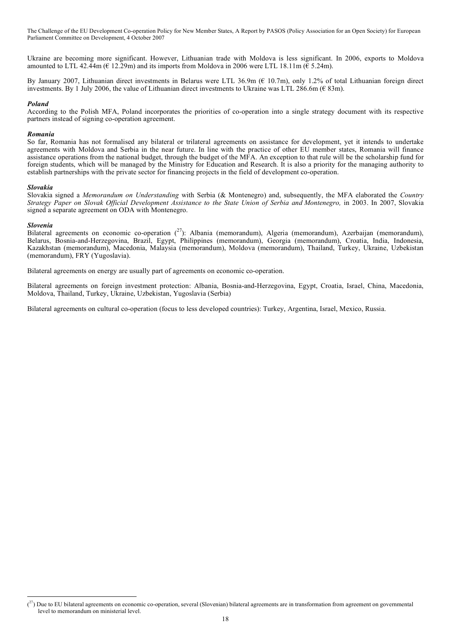Ukraine are becoming more significant. However, Lithuanian trade with Moldova is less significant. In 2006, exports to Moldova amounted to LTL 42.44m ( $\epsilon$  12.29m) and its imports from Moldova in 2006 were LTL 18.11m ( $\epsilon$  5.24m).

By January 2007, Lithuanian direct investments in Belarus were LTL 36.9m (€ 10.7m), only 1.2% of total Lithuanian foreign direct investments. By 1 July 2006, the value of Lithuanian direct investments to Ukraine was LTL 286.6m ( $\epsilon$  83m).

#### *Poland*

According to the Polish MFA, Poland incorporates the priorities of co-operation into a single strategy document with its respective partners instead of signing co-operation agreement.

#### *Romania*

So far, Romania has not formalised any bilateral or trilateral agreements on assistance for development, yet it intends to undertake agreements with Moldova and Serbia in the near future. In line with the practice of other EU member states, Romania will finance assistance operations from the national budget, through the budget of the MFA. An exception to that rule will be the scholarship fund for foreign students, which will be managed by the Ministry for Education and Research. It is also a priority for the managing authority to establish partnerships with the private sector for financing projects in the field of development co-operation.

#### *Slovakia*

Slovakia signed a *Memorandum on Understanding* with Serbia (& Montenegro) and, subsequently, the MFA elaborated the *Country* Strategy Paper on Slovak Official Development Assistance to the State Union of Serbia and Montenegro, in 2003. In 2007, Slovakia signed a separate agreement on ODA with Montenegro.

#### *Slovenia*

Bilateral agreements on economic co-operation  $(^{27})$ : Albania (memorandum), Algeria (memorandum), Azerbaijan (memorandum), Belarus, Bosnia-and-Herzegovina, Brazil, Egypt, Philippines (memorandum), Georgia (memorandum), Croatia, India, Indonesia, Kazakhstan (memorandum), Macedonia, Malaysia (memorandum), Moldova (memorandum), Thailand, Turkey, Ukraine, Uzbekistan (memorandum), FRY (Yugoslavia).

Bilateral agreements on energy are usually part of agreements on economic co-operation.

Bilateral agreements on foreign investment protection: Albania, Bosnia-and-Herzegovina, Egypt, Croatia, Israel, China, Macedonia, Moldova, Thailand, Turkey, Ukraine, Uzbekistan, Yugoslavia (Serbia)

Bilateral agreements on cultural co-operation (focus to less developed countries): Turkey, Argentina, Israel, Mexico, Russia.

 <sup>(</sup>  $\binom{27}{1}$  Due to EU bilateral agreements on economic co-operation, several (Slovenian) bilateral agreements are in transformation from agreement on governmental level to memorandum on ministerial level.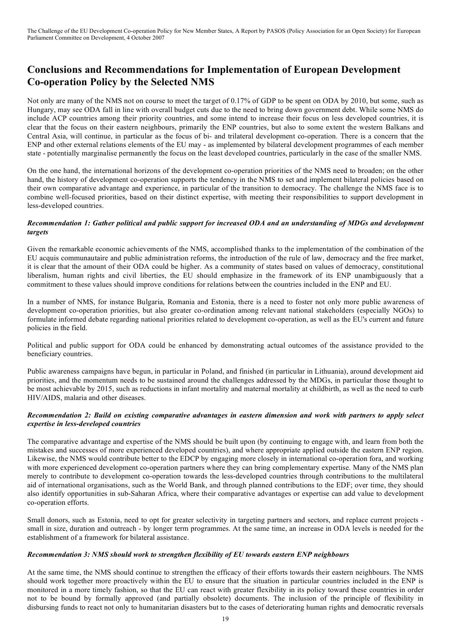# **Conclusions and Recommendations for Implementation of European Development Co-operation Policy by the Selected NMS**

Not only are many of the NMS not on course to meet the target of 0.17% of GDP to be spent on ODA by 2010, but some, such as Hungary, may see ODA fall in line with overall budget cuts due to the need to bring down government debt. While some NMS do include ACP countries among their priority countries, and some intend to increase their focus on less developed countries, it is clear that the focus on their eastern neighbours, primarily the ENP countries, but also to some extent the western Balkans and Central Asia, will continue, in particular as the focus of bi- and trilateral development co-operation. There is a concern that the ENP and other external relations elements of the EU may - as implemented by bilateral development programmes of each member state - potentially marginalise permanently the focus on the least developed countries, particularly in the case of the smaller NMS.

On the one hand, the international horizons of the development co-operation priorities of the NMS need to broaden; on the other hand, the history of development co-operation supports the tendency in the NMS to set and implement bilateral policies based on their own comparative advantage and experience, in particular of the transition to democracy. The challenge the NMS face is to combine well-focused priorities, based on their distinct expertise, with meeting their responsibilities to support development in less-developed countries.

# Recommendation 1: Gather political and public support for increased ODA and an understanding of MDGs and development *targets*

Given the remarkable economic achievements of the NMS, accomplished thanks to the implementation of the combination of the EU acquis communautaire and public administration reforms, the introduction of the rule of law, democracy and the free market, it is clear that the amount of their ODA could be higher. As a community of states based on values of democracy, constitutional liberalism, human rights and civil liberties, the EU should emphasize in the framework of its ENP unambiguously that a commitment to these values should improve conditions for relations between the countries included in the ENP and EU.

In a number of NMS, for instance Bulgaria, Romania and Estonia, there is a need to foster not only more public awareness of development co-operation priorities, but also greater co-ordination among relevant national stakeholders (especially NGOs) to formulate informed debate regarding national priorities related to development co-operation, as well as the EU's current and future policies in the field.

Political and public support for ODA could be enhanced by demonstrating actual outcomes of the assistance provided to the beneficiary countries.

Public awareness campaigns have begun, in particular in Poland, and finished (in particular in Lithuania), around development aid priorities, and the momentum needs to be sustained around the challenges addressed by the MDGs, in particular those thought to be most achievable by 2015, such as reductions in infant mortality and maternal mortality at childbirth, as well as the need to curb HIV/AIDS, malaria and other diseases.

# Recommendation 2: Build on existing comparative advantages in eastern dimension and work with partners to apply select *expertise in less-developed countries*

The comparative advantage and expertise of the NMS should be built upon (by continuing to engage with, and learn from both the mistakes and successes of more experienced developed countries), and where appropriate applied outside the eastern ENP region. Likewise, the NMS would contribute better to the EDCP by engaging more closely in international co-operation fora, and working with more experienced development co-operation partners where they can bring complementary expertise. Many of the NMS plan merely to contribute to development co-operation towards the less-developed countries through contributions to the multilateral aid of international organisations, such as the World Bank, and through planned contributions to the EDF; over time, they should also identify opportunities in sub-Saharan Africa, where their comparative advantages or expertise can add value to development co-operation efforts.

Small donors, such as Estonia, need to opt for greater selectivity in targeting partners and sectors, and replace current projects small in size, duration and outreach - by longer term programmes. At the same time, an increase in ODA levels is needed for the establishment of a framework for bilateral assistance.

# *Recommendation 3: NMS should work to strengthen flexibility of EU towards eastern ENP neighbours*

At the same time, the NMS should continue to strengthen the efficacy of their efforts towards their eastern neighbours. The NMS should work together more proactively within the EU to ensure that the situation in particular countries included in the ENP is monitored in a more timely fashion, so that the EU can react with greater flexibility in its policy toward these countries in order not to be bound by formally approved (and partially obsolete) documents. The inclusion of the principle of flexibility in disbursing funds to react not only to humanitarian disasters but to the cases of deteriorating human rights and democratic reversals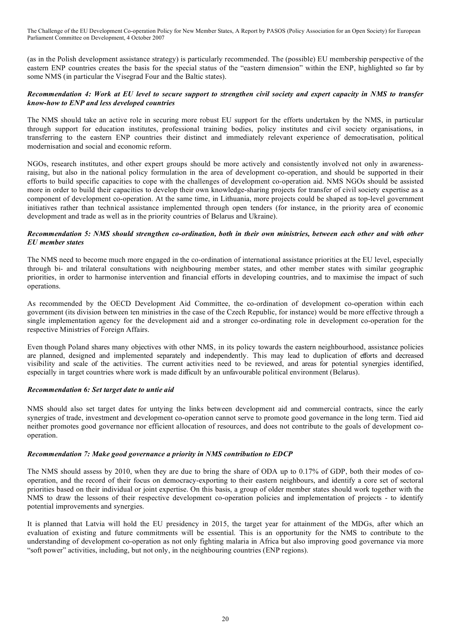(as in the Polish development assistance strategy) is particularly recommended. The (possible) EU membership perspective of the eastern ENP countries creates the basis for the special status of the "eastern dimension" within the ENP, highlighted so far by some NMS (in particular the Visegrad Four and the Baltic states).

# Recommendation 4: Work at EU level to secure support to strengthen civil society and expert capacity in NMS to transfer *know-how to ENP and less developed countries*

The NMS should take an active role in securing more robust EU support for the efforts undertaken by the NMS, in particular through support for education institutes, professional training bodies, policy institutes and civil society organisations, in transferring to the eastern ENP countries their distinct and immediately relevant experience of democratisation, political modernisation and social and economic reform.

NGOs, research institutes, and other expert groups should be more actively and consistently involved not only in awarenessraising, but also in the national policy formulation in the area of development co-operation, and should be supported in their efforts to build specific capacities to cope with the challenges of development co-operation aid. NMS NGOs should be assisted more in order to build their capacities to develop their own knowledge-sharing projects for transfer of civil society expertise as a component of development co-operation. At the same time, in Lithuania, more projects could be shaped as top-level government initiatives rather than technical assistance implemented through open tenders (for instance, in the priority area of economic development and trade as well as in the priority countries of Belarus and Ukraine).

# Recommendation 5: NMS should strengthen co-ordination, both in their own ministries, between each other and with other *EU member states*

The NMS need to become much more engaged in the co-ordination of international assistance priorities at the EU level, especially through bi- and trilateral consultations with neighbouring member states, and other member states with similar geographic priorities, in order to harmonise intervention and financial efforts in developing countries, and to maximise the impact of such operations.

As recommended by the OECD Development Aid Committee, the co-ordination of development co-operation within each government (its division between ten ministries in the case of the Czech Republic, for instance) would be more effective through a single implementation agency for the development aid and a stronger co-ordinating role in development co-operation for the respective Ministries of Foreign Affairs.

Even though Poland shares many objectives with other NMS, in its policy towards the eastern neighbourhood, assistance policies are planned, designed and implemented separately and independently. This may lead to duplication of efforts and decreased visibility and scale of the activities. The current activities need to be reviewed, and areas for potential synergies identified, especially in target countries where work is made difficult by an unfavourable political environment (Belarus).

# *Recommendation 6: Set target date to untie aid*

NMS should also set target dates for untying the links between development aid and commercial contracts, since the early synergies of trade, investment and development co-operation cannot serve to promote good governance in the long term. Tied aid neither promotes good governance nor efficient allocation of resources, and does not contribute to the goals of development cooperation.

# *Recommendation 7: Make good governance a priority in NMS contribution to EDCP*

The NMS should assess by 2010, when they are due to bring the share of ODA up to 0.17% of GDP, both their modes of cooperation, and the record of their focus on democracy-exporting to their eastern neighbours, and identify a core set of sectoral priorities based on their individual or joint expertise. On this basis, a group of older member states should work together with the NMS to draw the lessons of their respective development co-operation policies and implementation of projects - to identify potential improvements and synergies.

It is planned that Latvia will hold the EU presidency in 2015, the target year for attainment of the MDGs, after which an evaluation of existing and future commitments will be essential. This is an opportunity for the NMS to contribute to the understanding of development co-operation as not only fighting malaria in Africa but also improving good governance via more "soft power" activities, including, but not only, in the neighbouring countries (ENP regions).